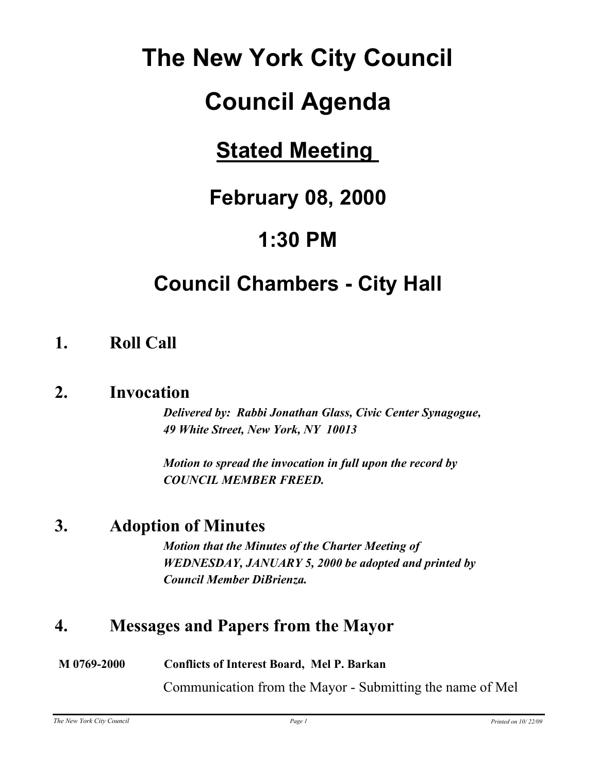# **The New York City Council**

# **Council Agenda**

# **Stated Meeting**

# **February 08, 2000**

# **1:30 PM**

# **Council Chambers - City Hall**

### **1. Roll Call**

### **2. Invocation**

*Delivered by: Rabbi Jonathan Glass, Civic Center Synagogue, 49 White Street, New York, NY 10013*

*Motion to spread the invocation in full upon the record by COUNCIL MEMBER FREED.*

### **3. Adoption of Minutes**

*Motion that the Minutes of the Charter Meeting of WEDNESDAY, JANUARY 5, 2000 be adopted and printed by Council Member DiBrienza.*

### **4. Messages and Papers from the Mayor**

#### **M 0769-2000 Conflicts of Interest Board, Mel P. Barkan**

Communication from the Mayor - Submitting the name of Mel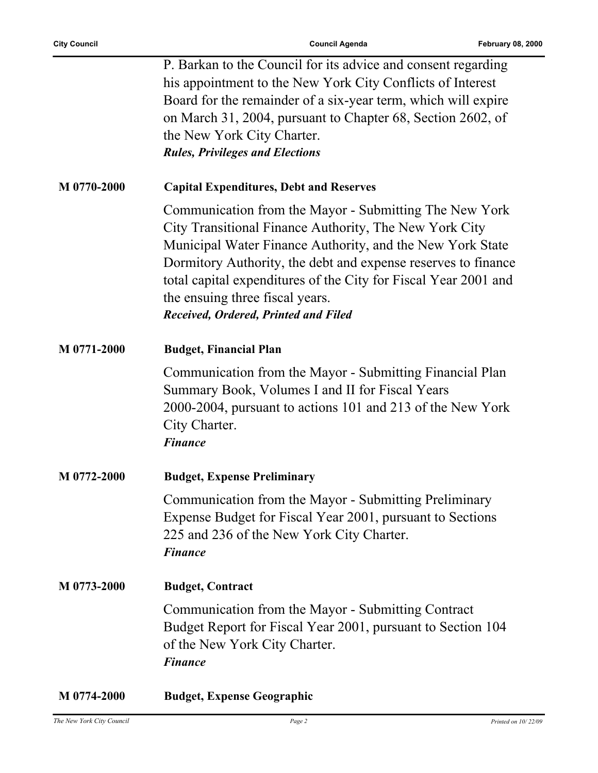|             | P. Barkan to the Council for its advice and consent regarding<br>his appointment to the New York City Conflicts of Interest<br>Board for the remainder of a six-year term, which will expire<br>on March 31, 2004, pursuant to Chapter 68, Section 2602, of<br>the New York City Charter.<br><b>Rules, Privileges and Elections</b>                                                          |
|-------------|----------------------------------------------------------------------------------------------------------------------------------------------------------------------------------------------------------------------------------------------------------------------------------------------------------------------------------------------------------------------------------------------|
| M 0770-2000 | <b>Capital Expenditures, Debt and Reserves</b>                                                                                                                                                                                                                                                                                                                                               |
|             | Communication from the Mayor - Submitting The New York<br>City Transitional Finance Authority, The New York City<br>Municipal Water Finance Authority, and the New York State<br>Dormitory Authority, the debt and expense reserves to finance<br>total capital expenditures of the City for Fiscal Year 2001 and<br>the ensuing three fiscal years.<br>Received, Ordered, Printed and Filed |
| M 0771-2000 | <b>Budget, Financial Plan</b>                                                                                                                                                                                                                                                                                                                                                                |
|             | Communication from the Mayor - Submitting Financial Plan<br>Summary Book, Volumes I and II for Fiscal Years<br>2000-2004, pursuant to actions 101 and 213 of the New York<br>City Charter.<br><b>Finance</b>                                                                                                                                                                                 |
| M 0772-2000 | <b>Budget, Expense Preliminary</b>                                                                                                                                                                                                                                                                                                                                                           |
|             | Communication from the Mayor - Submitting Preliminary<br>Expense Budget for Fiscal Year 2001, pursuant to Sections<br>225 and 236 of the New York City Charter.<br><b>Finance</b>                                                                                                                                                                                                            |
| M 0773-2000 | <b>Budget, Contract</b>                                                                                                                                                                                                                                                                                                                                                                      |
|             | Communication from the Mayor - Submitting Contract<br>Budget Report for Fiscal Year 2001, pursuant to Section 104<br>of the New York City Charter.<br><b>Finance</b>                                                                                                                                                                                                                         |
| M 0774-2000 | <b>Budget, Expense Geographic</b>                                                                                                                                                                                                                                                                                                                                                            |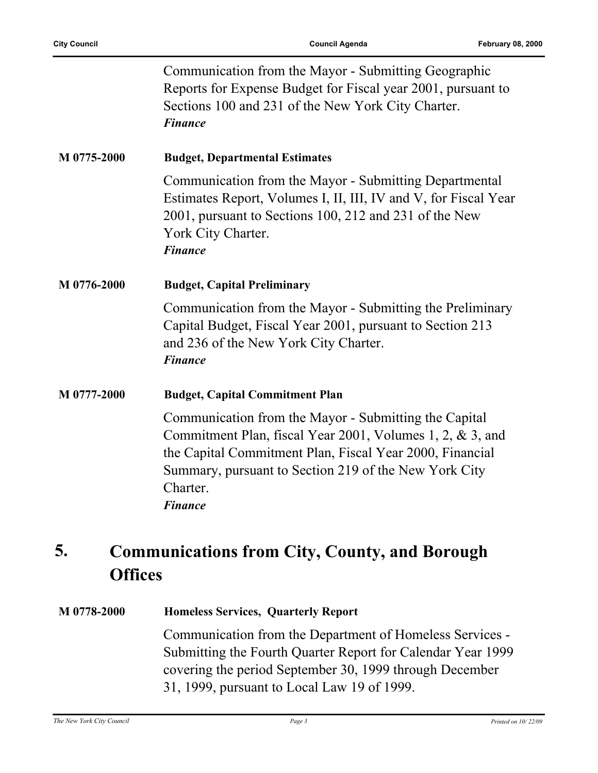|             | Communication from the Mayor - Submitting Geographic<br>Reports for Expense Budget for Fiscal year 2001, pursuant to<br>Sections 100 and 231 of the New York City Charter.<br><b>Finance</b>                                                                          |
|-------------|-----------------------------------------------------------------------------------------------------------------------------------------------------------------------------------------------------------------------------------------------------------------------|
| M 0775-2000 | <b>Budget, Departmental Estimates</b>                                                                                                                                                                                                                                 |
|             | Communication from the Mayor - Submitting Departmental<br>Estimates Report, Volumes I, II, III, IV and V, for Fiscal Year<br>2001, pursuant to Sections 100, 212 and 231 of the New<br>York City Charter.<br><b>Finance</b>                                           |
| M 0776-2000 | <b>Budget, Capital Preliminary</b>                                                                                                                                                                                                                                    |
|             | Communication from the Mayor - Submitting the Preliminary<br>Capital Budget, Fiscal Year 2001, pursuant to Section 213<br>and 236 of the New York City Charter.<br><b>Finance</b>                                                                                     |
| M 0777-2000 | <b>Budget, Capital Commitment Plan</b>                                                                                                                                                                                                                                |
|             | Communication from the Mayor - Submitting the Capital<br>Commitment Plan, fiscal Year 2001, Volumes 1, 2, & 3, and<br>the Capital Commitment Plan, Fiscal Year 2000, Financial<br>Summary, pursuant to Section 219 of the New York City<br>Charter.<br><b>Finance</b> |

#### **Communications from City, County, and Borough Offices 5.**

#### **M 0778-2000 Homeless Services, Quarterly Report**

Communication from the Department of Homeless Services - Submitting the Fourth Quarter Report for Calendar Year 1999 covering the period September 30, 1999 through December 31, 1999, pursuant to Local Law 19 of 1999.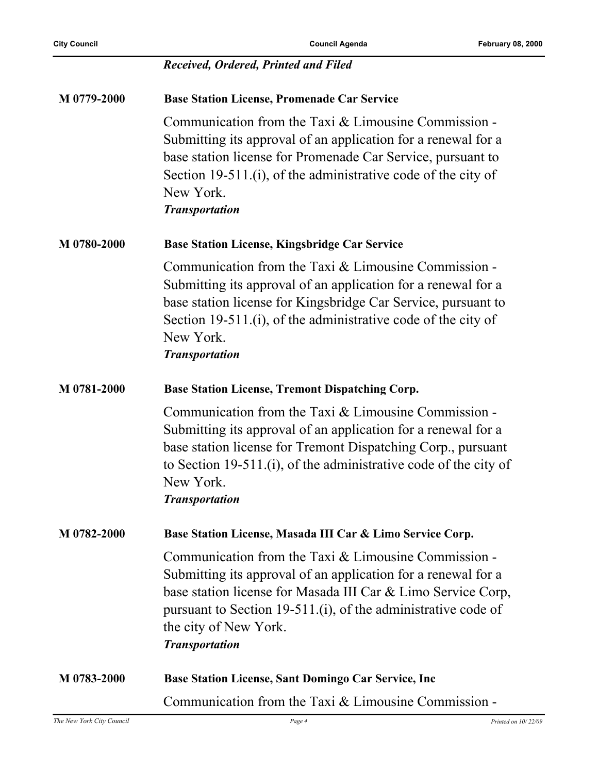|             | Received, Ordered, Printed and Filed                                                                                                                                                                                                                                                                     |
|-------------|----------------------------------------------------------------------------------------------------------------------------------------------------------------------------------------------------------------------------------------------------------------------------------------------------------|
| M 0779-2000 | <b>Base Station License, Promenade Car Service</b>                                                                                                                                                                                                                                                       |
|             | Communication from the Taxi & Limousine Commission -<br>Submitting its approval of an application for a renewal for a<br>base station license for Promenade Car Service, pursuant to<br>Section 19-511.(i), of the administrative code of the city of<br>New York.<br><b>Transportation</b>              |
| M 0780-2000 | <b>Base Station License, Kingsbridge Car Service</b>                                                                                                                                                                                                                                                     |
|             | Communication from the Taxi & Limousine Commission -<br>Submitting its approval of an application for a renewal for a<br>base station license for Kingsbridge Car Service, pursuant to<br>Section 19-511.(i), of the administrative code of the city of<br>New York.<br><b>Transportation</b>            |
| M 0781-2000 | <b>Base Station License, Tremont Dispatching Corp.</b>                                                                                                                                                                                                                                                   |
|             | Communication from the Taxi & Limousine Commission -<br>Submitting its approval of an application for a renewal for a<br>base station license for Tremont Dispatching Corp., pursuant<br>to Section 19-511.(i), of the administrative code of the city of<br>New York.<br><b>Transportation</b>          |
| M 0782-2000 | Base Station License, Masada III Car & Limo Service Corp.                                                                                                                                                                                                                                                |
|             | Communication from the Taxi & Limousine Commission -<br>Submitting its approval of an application for a renewal for a<br>base station license for Masada III Car & Limo Service Corp,<br>pursuant to Section 19-511.(i), of the administrative code of<br>the city of New York.<br><b>Transportation</b> |
| M 0783-2000 | <b>Base Station License, Sant Domingo Car Service, Inc.</b>                                                                                                                                                                                                                                              |
|             | Communication from the Taxi & Limousine Commission -                                                                                                                                                                                                                                                     |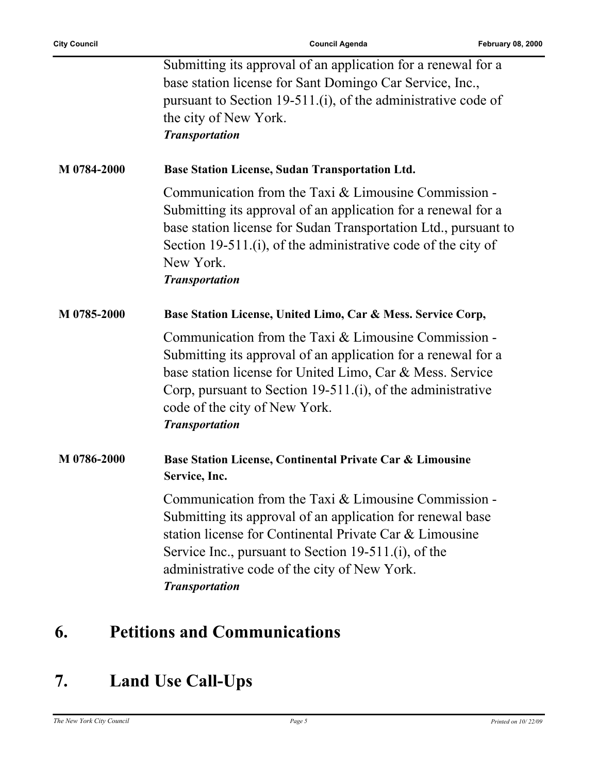|             | Submitting its approval of an application for a renewal for a<br>base station license for Sant Domingo Car Service, Inc.,<br>pursuant to Section 19-511.(i), of the administrative code of<br>the city of New York.<br><b>Transportation</b>                                                                   |
|-------------|----------------------------------------------------------------------------------------------------------------------------------------------------------------------------------------------------------------------------------------------------------------------------------------------------------------|
| M 0784-2000 | <b>Base Station License, Sudan Transportation Ltd.</b>                                                                                                                                                                                                                                                         |
|             | Communication from the Taxi $&$ Limousine Commission -<br>Submitting its approval of an application for a renewal for a<br>base station license for Sudan Transportation Ltd., pursuant to<br>Section 19-511.(i), of the administrative code of the city of<br>New York.<br><b>Transportation</b>              |
| M 0785-2000 | Base Station License, United Limo, Car & Mess. Service Corp,                                                                                                                                                                                                                                                   |
|             | Communication from the Taxi & Limousine Commission -<br>Submitting its approval of an application for a renewal for a<br>base station license for United Limo, Car & Mess. Service<br>Corp, pursuant to Section 19-511.(i), of the administrative<br>code of the city of New York.<br><b>Transportation</b>    |
| M 0786-2000 | Base Station License, Continental Private Car & Limousine<br>Service, Inc.                                                                                                                                                                                                                                     |
|             | Communication from the Taxi & Limousine Commission -<br>Submitting its approval of an application for renewal base<br>station license for Continental Private Car & Limousine<br>Service Inc., pursuant to Section 19-511.(i), of the<br>administrative code of the city of New York.<br><b>Transportation</b> |

## **6. Petitions and Communications**

## **7. Land Use Call-Ups**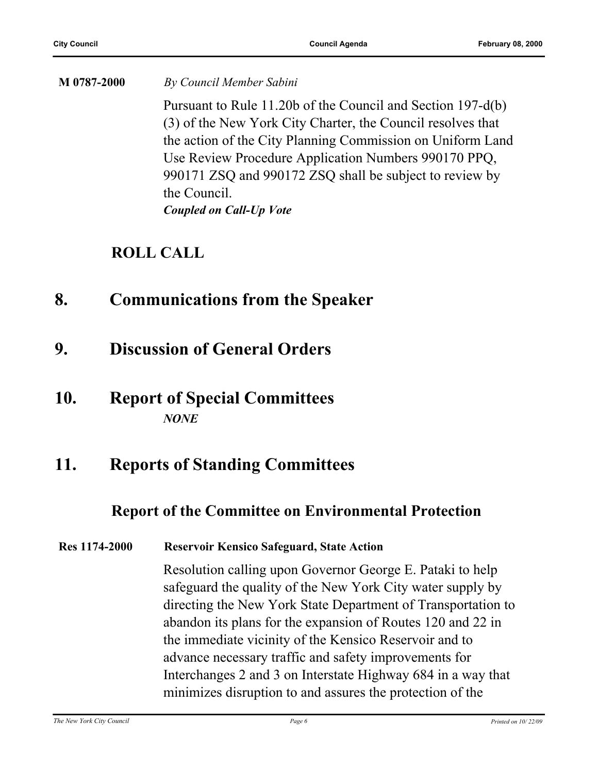**M 0787-2000** *By Council Member Sabini* Pursuant to Rule 11.20b of the Council and Section 197-d(b) (3) of the New York City Charter, the Council resolves that the action of the City Planning Commission on Uniform Land Use Review Procedure Application Numbers 990170 PPQ, 990171 ZSQ and 990172 ZSQ shall be subject to review by the Council. *Coupled on Call-Up Vote*

### **ROLL CALL**

- **8. Communications from the Speaker**
- **9. Discussion of General Orders**
- **10. Report of Special Committees** *NONE*

### **11. Reports of Standing Committees**

### **Report of the Committee on Environmental Protection**

#### **Res 1174-2000 Reservoir Kensico Safeguard, State Action**

Resolution calling upon Governor George E. Pataki to help safeguard the quality of the New York City water supply by directing the New York State Department of Transportation to abandon its plans for the expansion of Routes 120 and 22 in the immediate vicinity of the Kensico Reservoir and to advance necessary traffic and safety improvements for Interchanges 2 and 3 on Interstate Highway 684 in a way that minimizes disruption to and assures the protection of the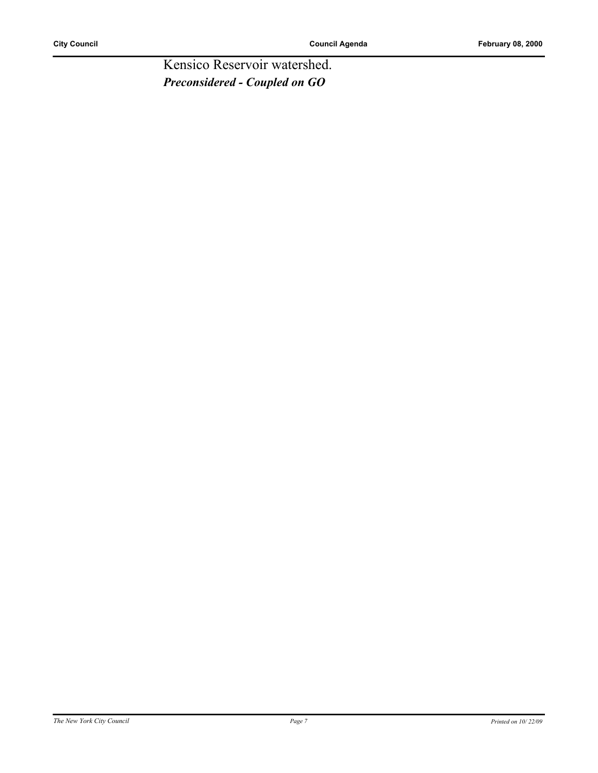Kensico Reservoir watershed. *Preconsidered - Coupled on GO*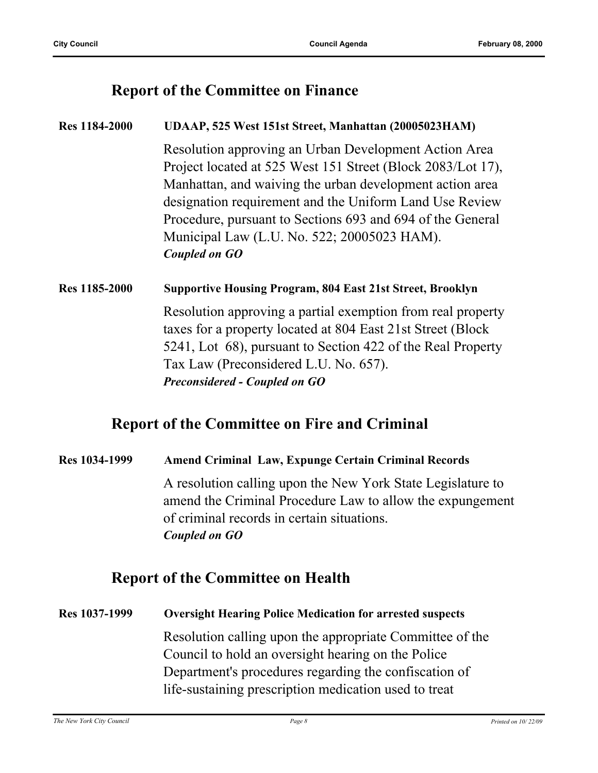#### **Report of the Committee on Finance**

#### **Res 1184-2000 UDAAP, 525 West 151st Street, Manhattan (20005023HAM)**

Resolution approving an Urban Development Action Area Project located at 525 West 151 Street (Block 2083/Lot 17), Manhattan, and waiving the urban development action area designation requirement and the Uniform Land Use Review Procedure, pursuant to Sections 693 and 694 of the General Municipal Law (L.U. No. 522; 20005023 HAM). *Coupled on GO*

#### **Res 1185-2000 Supportive Housing Program, 804 East 21st Street, Brooklyn**

Resolution approving a partial exemption from real property taxes for a property located at 804 East 21st Street (Block 5241, Lot 68), pursuant to Section 422 of the Real Property Tax Law (Preconsidered L.U. No. 657). *Preconsidered - Coupled on GO*

### **Report of the Committee on Fire and Criminal**

### **Res 1034-1999 Amend Criminal Law, Expunge Certain Criminal Records** A resolution calling upon the New York State Legislature to amend the Criminal Procedure Law to allow the expungement of criminal records in certain situations. *Coupled on GO*

#### **Report of the Committee on Health**

#### **Res 1037-1999 Oversight Hearing Police Medication for arrested suspects**

Resolution calling upon the appropriate Committee of the Council to hold an oversight hearing on the Police Department's procedures regarding the confiscation of life-sustaining prescription medication used to treat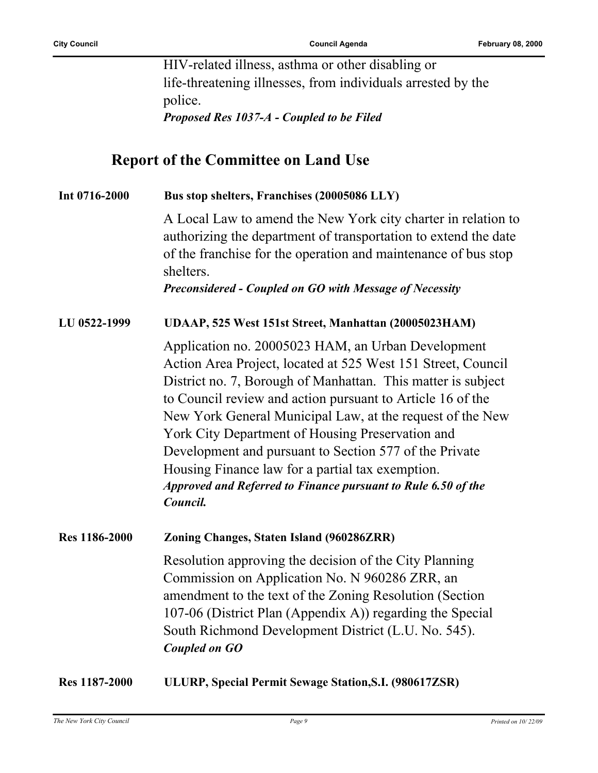HIV-related illness, asthma or other disabling or life-threatening illnesses, from individuals arrested by the police. *Proposed Res 1037-A - Coupled to be Filed*

**Report of the Committee on Land Use**

| Int 0716-2000 | Bus stop shelters, Franchises (20005086 LLY)                                                                                                                                                                                                                                                                                                                                                                                                                                                                                                                 |
|---------------|--------------------------------------------------------------------------------------------------------------------------------------------------------------------------------------------------------------------------------------------------------------------------------------------------------------------------------------------------------------------------------------------------------------------------------------------------------------------------------------------------------------------------------------------------------------|
|               | A Local Law to amend the New York city charter in relation to<br>authorizing the department of transportation to extend the date<br>of the franchise for the operation and maintenance of bus stop<br>shelters.<br>Preconsidered - Coupled on GO with Message of Necessity                                                                                                                                                                                                                                                                                   |
| LU 0522-1999  | UDAAP, 525 West 151st Street, Manhattan (20005023HAM)                                                                                                                                                                                                                                                                                                                                                                                                                                                                                                        |
|               | Application no. 20005023 HAM, an Urban Development<br>Action Area Project, located at 525 West 151 Street, Council<br>District no. 7, Borough of Manhattan. This matter is subject<br>to Council review and action pursuant to Article 16 of the<br>New York General Municipal Law, at the request of the New<br>York City Department of Housing Preservation and<br>Development and pursuant to Section 577 of the Private<br>Housing Finance law for a partial tax exemption.<br>Approved and Referred to Finance pursuant to Rule 6.50 of the<br>Council. |
| Res 1186-2000 | Zoning Changes, Staten Island (960286ZRR)                                                                                                                                                                                                                                                                                                                                                                                                                                                                                                                    |
|               | Resolution approving the decision of the City Planning<br>Commission on Application No. N 960286 ZRR, an<br>amendment to the text of the Zoning Resolution (Section<br>107-06 (District Plan (Appendix A)) regarding the Special<br>South Richmond Development District (L.U. No. 545).<br><b>Coupled on GO</b>                                                                                                                                                                                                                                              |
| Res 1187-2000 | ULURP, Special Permit Sewage Station, S.I. (980617ZSR)                                                                                                                                                                                                                                                                                                                                                                                                                                                                                                       |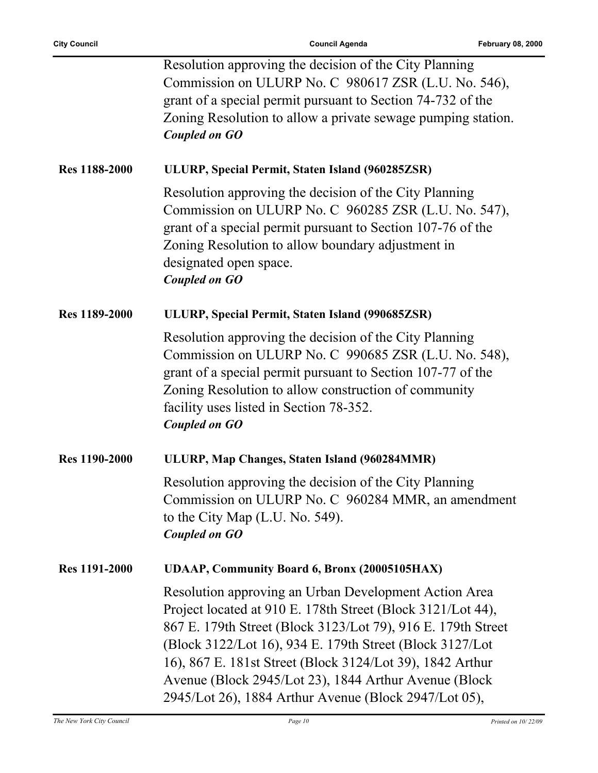|                      | Resolution approving the decision of the City Planning<br>Commission on ULURP No. C 980617 ZSR (L.U. No. 546),<br>grant of a special permit pursuant to Section 74-732 of the<br>Zoning Resolution to allow a private sewage pumping station.<br><b>Coupled on GO</b>                                                                                                                                                            |
|----------------------|----------------------------------------------------------------------------------------------------------------------------------------------------------------------------------------------------------------------------------------------------------------------------------------------------------------------------------------------------------------------------------------------------------------------------------|
| Res 1188-2000        | ULURP, Special Permit, Staten Island (960285ZSR)                                                                                                                                                                                                                                                                                                                                                                                 |
|                      | Resolution approving the decision of the City Planning<br>Commission on ULURP No. C 960285 ZSR (L.U. No. 547),<br>grant of a special permit pursuant to Section 107-76 of the<br>Zoning Resolution to allow boundary adjustment in<br>designated open space.<br><b>Coupled on GO</b>                                                                                                                                             |
| Res 1189-2000        | ULURP, Special Permit, Staten Island (990685ZSR)                                                                                                                                                                                                                                                                                                                                                                                 |
|                      | Resolution approving the decision of the City Planning<br>Commission on ULURP No. C 990685 ZSR (L.U. No. 548),<br>grant of a special permit pursuant to Section 107-77 of the<br>Zoning Resolution to allow construction of community<br>facility uses listed in Section 78-352.<br><b>Coupled on GO</b>                                                                                                                         |
| <b>Res 1190-2000</b> | ULURP, Map Changes, Staten Island (960284MMR)                                                                                                                                                                                                                                                                                                                                                                                    |
|                      | Resolution approving the decision of the City Planning<br>Commission on ULURP No. C 960284 MMR, an amendment<br>to the City Map (L.U. No. 549).<br><b>Coupled on GO</b>                                                                                                                                                                                                                                                          |
| <b>Res 1191-2000</b> | <b>UDAAP, Community Board 6, Bronx (20005105HAX)</b>                                                                                                                                                                                                                                                                                                                                                                             |
|                      | Resolution approving an Urban Development Action Area<br>Project located at 910 E. 178th Street (Block 3121/Lot 44),<br>867 E. 179th Street (Block 3123/Lot 79), 916 E. 179th Street<br>(Block 3122/Lot 16), 934 E. 179th Street (Block 3127/Lot<br>16), 867 E. 181st Street (Block 3124/Lot 39), 1842 Arthur<br>Avenue (Block 2945/Lot 23), 1844 Arthur Avenue (Block)<br>2945/Lot 26), 1884 Arthur Avenue (Block 2947/Lot 05), |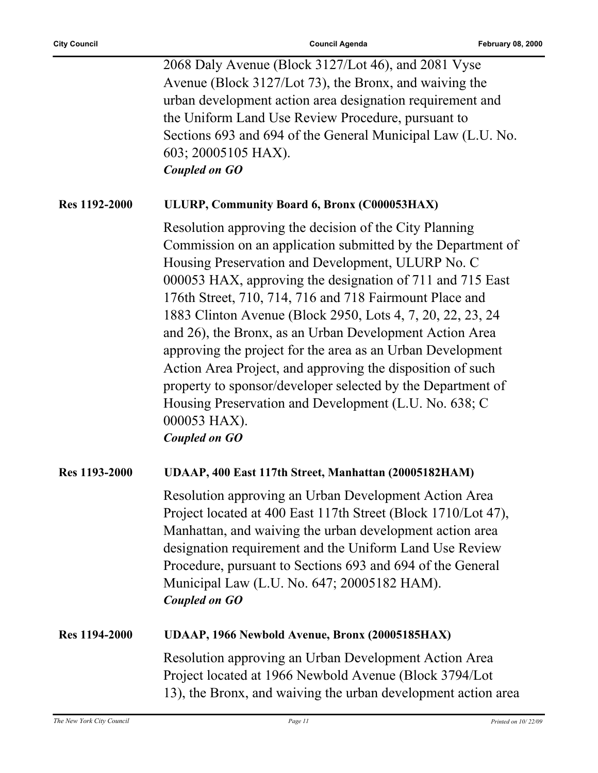|                      | 2068 Daly Avenue (Block 3127/Lot 46), and 2081 Vyse<br>Avenue (Block 3127/Lot 73), the Bronx, and waiving the<br>urban development action area designation requirement and<br>the Uniform Land Use Review Procedure, pursuant to<br>Sections 693 and 694 of the General Municipal Law (L.U. No.<br>603; 20005105 HAX).<br><b>Coupled on GO</b>                                                                                                                                                                                                                                                                                                                                                                           |
|----------------------|--------------------------------------------------------------------------------------------------------------------------------------------------------------------------------------------------------------------------------------------------------------------------------------------------------------------------------------------------------------------------------------------------------------------------------------------------------------------------------------------------------------------------------------------------------------------------------------------------------------------------------------------------------------------------------------------------------------------------|
| Res 1192-2000        | ULURP, Community Board 6, Bronx (C000053HAX)                                                                                                                                                                                                                                                                                                                                                                                                                                                                                                                                                                                                                                                                             |
|                      | Resolution approving the decision of the City Planning<br>Commission on an application submitted by the Department of<br>Housing Preservation and Development, ULURP No. C<br>000053 HAX, approving the designation of 711 and 715 East<br>176th Street, 710, 714, 716 and 718 Fairmount Place and<br>1883 Clinton Avenue (Block 2950, Lots 4, 7, 20, 22, 23, 24<br>and 26), the Bronx, as an Urban Development Action Area<br>approving the project for the area as an Urban Development<br>Action Area Project, and approving the disposition of such<br>property to sponsor/developer selected by the Department of<br>Housing Preservation and Development (L.U. No. 638; C.<br>000053 HAX).<br><b>Coupled on GO</b> |
| Res 1193-2000        | UDAAP, 400 East 117th Street, Manhattan (20005182HAM)                                                                                                                                                                                                                                                                                                                                                                                                                                                                                                                                                                                                                                                                    |
|                      | Resolution approving an Urban Development Action Area<br>Project located at 400 East 117th Street (Block 1710/Lot 47),<br>Manhattan, and waiving the urban development action area<br>designation requirement and the Uniform Land Use Review<br>Procedure, pursuant to Sections 693 and 694 of the General<br>Municipal Law (L.U. No. 647; 20005182 HAM).<br><b>Coupled on GO</b>                                                                                                                                                                                                                                                                                                                                       |
| <b>Res 1194-2000</b> | UDAAP, 1966 Newbold Avenue, Bronx (20005185HAX)                                                                                                                                                                                                                                                                                                                                                                                                                                                                                                                                                                                                                                                                          |
|                      | Resolution approving an Urban Development Action Area<br>Project located at 1966 Newbold Avenue (Block 3794/Lot<br>13), the Bronx, and waiving the urban development action area                                                                                                                                                                                                                                                                                                                                                                                                                                                                                                                                         |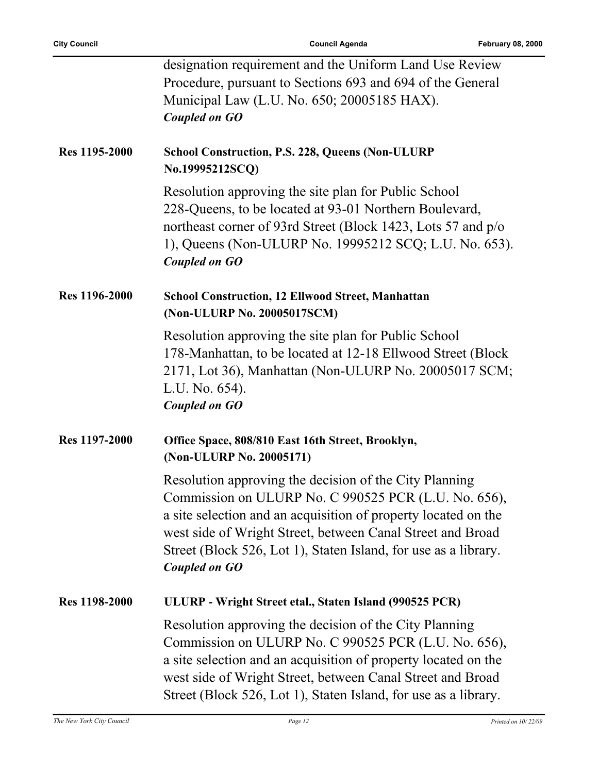|               | designation requirement and the Uniform Land Use Review<br>Procedure, pursuant to Sections 693 and 694 of the General<br>Municipal Law (L.U. No. 650; 20005185 HAX).<br><b>Coupled on GO</b>                                                                                                                                              |
|---------------|-------------------------------------------------------------------------------------------------------------------------------------------------------------------------------------------------------------------------------------------------------------------------------------------------------------------------------------------|
| Res 1195-2000 | <b>School Construction, P.S. 228, Queens (Non-ULURP)</b><br>No.19995212SCQ)                                                                                                                                                                                                                                                               |
|               | Resolution approving the site plan for Public School<br>228-Queens, to be located at 93-01 Northern Boulevard,<br>northeast corner of 93rd Street (Block 1423, Lots 57 and p/o<br>1), Queens (Non-ULURP No. 19995212 SCQ; L.U. No. 653).<br><b>Coupled on GO</b>                                                                          |
| Res 1196-2000 | <b>School Construction, 12 Ellwood Street, Manhattan</b><br>(Non-ULURP No. 20005017SCM)                                                                                                                                                                                                                                                   |
|               | Resolution approving the site plan for Public School<br>178-Manhattan, to be located at 12-18 Ellwood Street (Block)<br>2171, Lot 36), Manhattan (Non-ULURP No. 20005017 SCM;<br>L.U. No. 654).<br><b>Coupled on GO</b>                                                                                                                   |
| Res 1197-2000 | Office Space, 808/810 East 16th Street, Brooklyn,<br>(Non-ULURP No. 20005171)                                                                                                                                                                                                                                                             |
|               | Resolution approving the decision of the City Planning<br>Commission on ULURP No. C 990525 PCR (L.U. No. 656),<br>a site selection and an acquisition of property located on the<br>west side of Wright Street, between Canal Street and Broad<br>Street (Block 526, Lot 1), Staten Island, for use as a library.<br><b>Coupled on GO</b> |
| Res 1198-2000 | ULURP - Wright Street etal., Staten Island (990525 PCR)                                                                                                                                                                                                                                                                                   |
|               | Resolution approving the decision of the City Planning<br>Commission on ULURP No. C 990525 PCR (L.U. No. 656),<br>a site selection and an acquisition of property located on the<br>west side of Wright Street, between Canal Street and Broad<br>Street (Block 526, Lot 1), Staten Island, for use as a library.                         |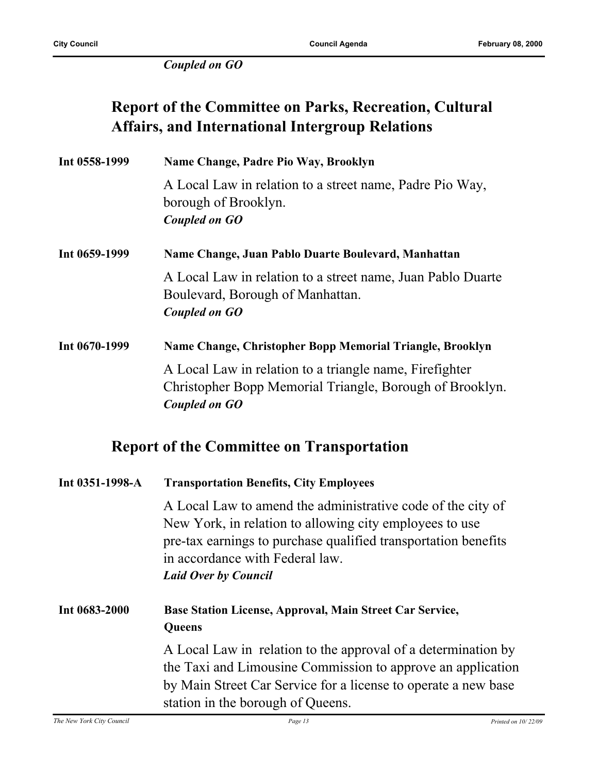*Coupled on GO*

### **Report of the Committee on Parks, Recreation, Cultural Affairs, and International Intergroup Relations**

| Int 0558-1999 | Name Change, Padre Pio Way, Brooklyn                                                                                                 |
|---------------|--------------------------------------------------------------------------------------------------------------------------------------|
|               | A Local Law in relation to a street name, Padre Pio Way,<br>borough of Brooklyn.                                                     |
|               | Coupled on GO                                                                                                                        |
| Int 0659-1999 | Name Change, Juan Pablo Duarte Boulevard, Manhattan                                                                                  |
|               | A Local Law in relation to a street name, Juan Pablo Duarte<br>Boulevard, Borough of Manhattan.                                      |
|               | Coupled on GO                                                                                                                        |
| Int 0670-1999 | Name Change, Christopher Bopp Memorial Triangle, Brooklyn                                                                            |
|               | A Local Law in relation to a triangle name, Firefighter<br>Christopher Bopp Memorial Triangle, Borough of Brooklyn.<br>Coupled on GO |
|               |                                                                                                                                      |

### **Report of the Committee on Transportation**

| Int 0351-1998-A | <b>Transportation Benefits, City Employees</b>                                                                                                                                                                                                             |
|-----------------|------------------------------------------------------------------------------------------------------------------------------------------------------------------------------------------------------------------------------------------------------------|
|                 | A Local Law to amend the administrative code of the city of<br>New York, in relation to allowing city employees to use<br>pre-tax earnings to purchase qualified transportation benefits<br>in accordance with Federal law.<br><b>Laid Over by Council</b> |
| Int 0683-2000   | Base Station License, Approval, Main Street Car Service,<br>Queens                                                                                                                                                                                         |
|                 | A Local Law in relation to the approval of a determination by<br>the Taxi and Limousine Commission to approve an application<br>by Main Street Car Service for a license to operate a new base<br>station in the borough of Queens.                        |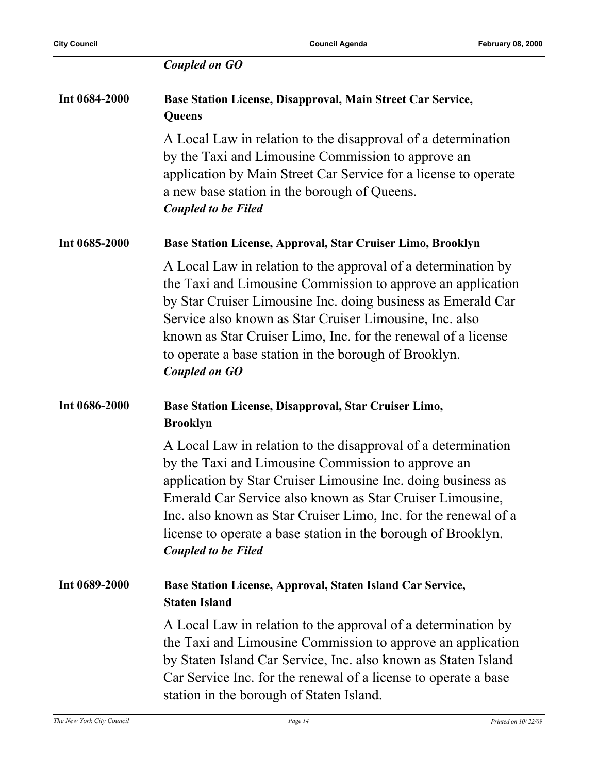|               | <b>Coupled on GO</b>                                                                                                                                                                                                                                                                                                                                                                                               |
|---------------|--------------------------------------------------------------------------------------------------------------------------------------------------------------------------------------------------------------------------------------------------------------------------------------------------------------------------------------------------------------------------------------------------------------------|
| Int 0684-2000 | Base Station License, Disapproval, Main Street Car Service,<br>Queens                                                                                                                                                                                                                                                                                                                                              |
|               | A Local Law in relation to the disapproval of a determination<br>by the Taxi and Limousine Commission to approve an<br>application by Main Street Car Service for a license to operate<br>a new base station in the borough of Queens.<br><b>Coupled to be Filed</b>                                                                                                                                               |
| Int 0685-2000 | Base Station License, Approval, Star Cruiser Limo, Brooklyn                                                                                                                                                                                                                                                                                                                                                        |
|               | A Local Law in relation to the approval of a determination by<br>the Taxi and Limousine Commission to approve an application<br>by Star Cruiser Limousine Inc. doing business as Emerald Car<br>Service also known as Star Cruiser Limousine, Inc. also<br>known as Star Cruiser Limo, Inc. for the renewal of a license<br>to operate a base station in the borough of Brooklyn.<br><b>Coupled on GO</b>          |
| Int 0686-2000 | Base Station License, Disapproval, Star Cruiser Limo,<br><b>Brooklyn</b>                                                                                                                                                                                                                                                                                                                                           |
|               | A Local Law in relation to the disapproval of a determination<br>by the Taxi and Limousine Commission to approve an<br>application by Star Cruiser Limousine Inc. doing business as<br>Emerald Car Service also known as Star Cruiser Limousine,<br>Inc. also known as Star Cruiser Limo, Inc. for the renewal of a<br>license to operate a base station in the borough of Brooklyn.<br><b>Coupled to be Filed</b> |
| Int 0689-2000 | Base Station License, Approval, Staten Island Car Service,<br><b>Staten Island</b>                                                                                                                                                                                                                                                                                                                                 |
|               | A Local Law in relation to the approval of a determination by<br>the Taxi and Limousine Commission to approve an application<br>by Staten Island Car Service, Inc. also known as Staten Island<br>Car Service Inc. for the renewal of a license to operate a base<br>station in the borough of Staten Island.                                                                                                      |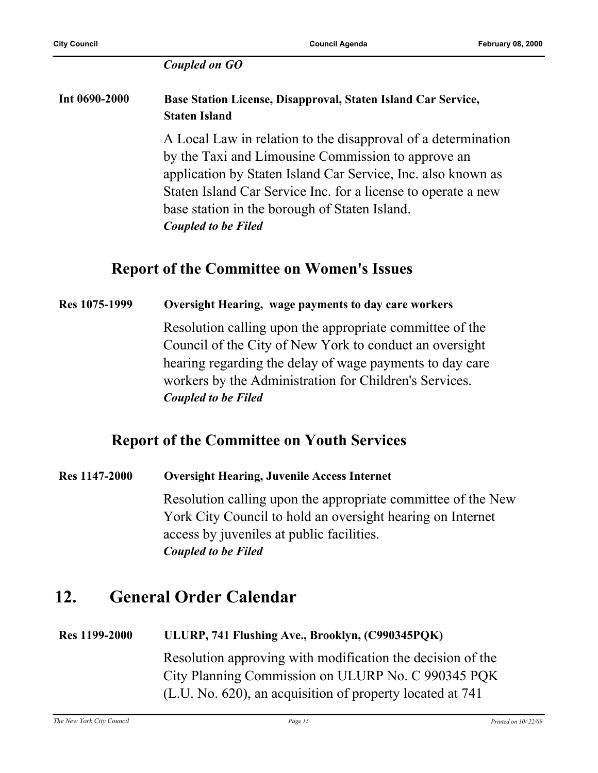#### *Coupled on GO*

#### **Int 0690-2000 Base Station License, Disapproval, Staten Island Car Service, Staten Island**

A Local Law in relation to the disapproval of a determination by the Taxi and Limousine Commission to approve an application by Staten Island Car Service, Inc. also known as Staten Island Car Service Inc. for a license to operate a new base station in the borough of Staten Island. *Coupled to be Filed*

#### **Report of the Committee on Women's Issues**

#### **Res 1075-1999 Oversight Hearing, wage payments to day care workers**

Resolution calling upon the appropriate committee of the Council of the City of New York to conduct an oversight hearing regarding the delay of wage payments to day care workers by the Administration for Children's Services. *Coupled to be Filed*

#### **Report of the Committee on Youth Services**

**Res 1147-2000 Oversight Hearing, Juvenile Access Internet** Resolution calling upon the appropriate committee of the New York City Council to hold an oversight hearing on Internet access by juveniles at public facilities. *Coupled to be Filed*

### **12. General Order Calendar**

#### **Res 1199-2000 ULURP, 741 Flushing Ave., Brooklyn, (C990345PQK)**

Resolution approving with modification the decision of the City Planning Commission on ULURP No. C 990345 PQK (L.U. No. 620), an acquisition of property located at 741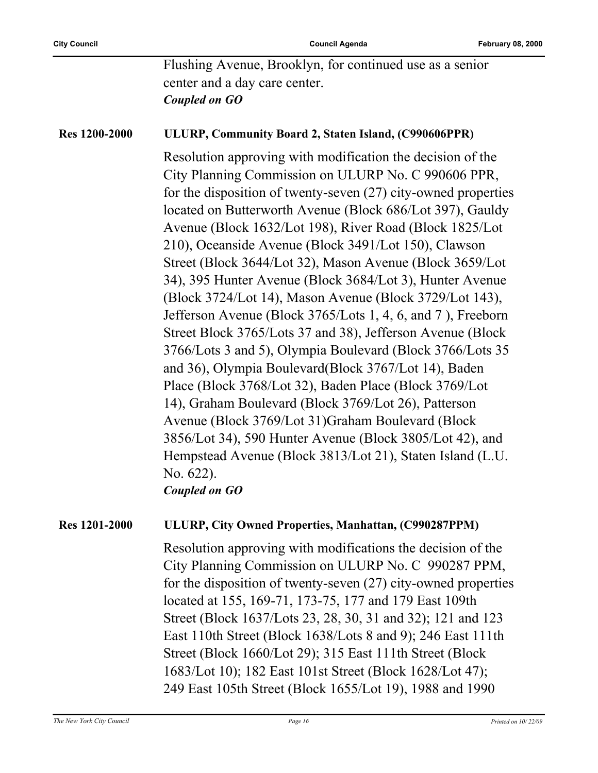Flushing Avenue, Brooklyn, for continued use as a senior center and a day care center. *Coupled on GO*

#### **Res 1200-2000 ULURP, Community Board 2, Staten Island, (C990606PPR)**

Resolution approving with modification the decision of the City Planning Commission on ULURP No. C 990606 PPR, for the disposition of twenty-seven (27) city-owned properties located on Butterworth Avenue (Block 686/Lot 397), Gauldy Avenue (Block 1632/Lot 198), River Road (Block 1825/Lot 210), Oceanside Avenue (Block 3491/Lot 150), Clawson Street (Block 3644/Lot 32), Mason Avenue (Block 3659/Lot 34), 395 Hunter Avenue (Block 3684/Lot 3), Hunter Avenue (Block 3724/Lot 14), Mason Avenue (Block 3729/Lot 143), Jefferson Avenue (Block 3765/Lots 1, 4, 6, and 7 ), Freeborn Street Block 3765/Lots 37 and 38), Jefferson Avenue (Block 3766/Lots 3 and 5), Olympia Boulevard (Block 3766/Lots 35 and 36), Olympia Boulevard(Block 3767/Lot 14), Baden Place (Block 3768/Lot 32), Baden Place (Block 3769/Lot 14), Graham Boulevard (Block 3769/Lot 26), Patterson Avenue (Block 3769/Lot 31)Graham Boulevard (Block 3856/Lot 34), 590 Hunter Avenue (Block 3805/Lot 42), and Hempstead Avenue (Block 3813/Lot 21), Staten Island (L.U. No. 622).

*Coupled on GO*

#### **Res 1201-2000 ULURP, City Owned Properties, Manhattan, (C990287PPM)**

Resolution approving with modifications the decision of the City Planning Commission on ULURP No. C 990287 PPM, for the disposition of twenty-seven (27) city-owned properties located at 155, 169-71, 173-75, 177 and 179 East 109th Street (Block 1637/Lots 23, 28, 30, 31 and 32); 121 and 123 East 110th Street (Block 1638/Lots 8 and 9); 246 East 111th Street (Block 1660/Lot 29); 315 East 111th Street (Block 1683/Lot 10); 182 East 101st Street (Block 1628/Lot 47); 249 East 105th Street (Block 1655/Lot 19), 1988 and 1990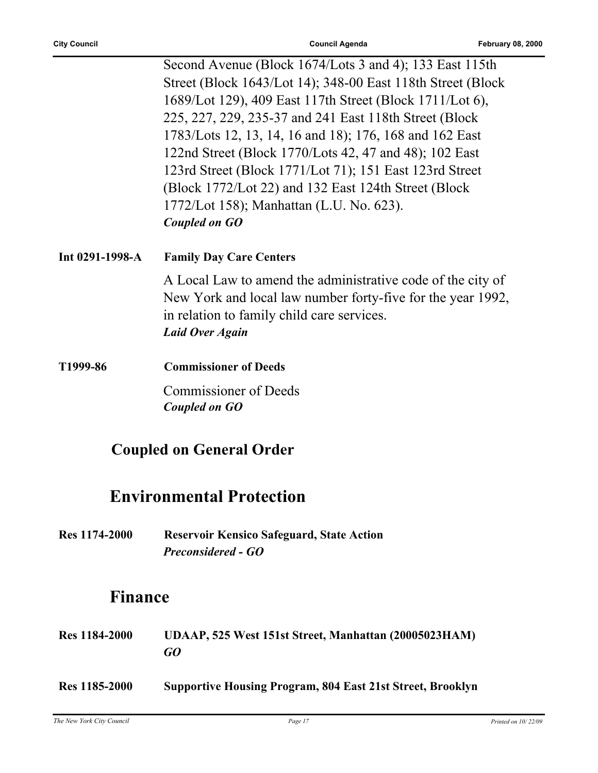|               | Second Avenue (Block 1674/Lots 3 and 4); 133 East 115th      |
|---------------|--------------------------------------------------------------|
|               | Street (Block 1643/Lot 14); 348-00 East 118th Street (Block) |
|               | 1689/Lot 129), 409 East 117th Street (Block 1711/Lot 6),     |
|               | 225, 227, 229, 235-37 and 241 East 118th Street (Block)      |
|               | 1783/Lots 12, 13, 14, 16 and 18); 176, 168 and 162 East      |
|               | 122nd Street (Block 1770/Lots 42, 47 and 48); 102 East       |
|               | 123rd Street (Block 1771/Lot 71); 151 East 123rd Street      |
|               | (Block 1772/Lot 22) and 132 East 124th Street (Block         |
|               | 1772/Lot 158); Manhattan (L.U. No. 623).                     |
| Coupled on GO |                                                              |
|               |                                                              |

**Int 0291-1998-A Family Day Care Centers**

A Local Law to amend the administrative code of the city of New York and local law number forty-five for the year 1992, in relation to family child care services. *Laid Over Again*

**T1999-86 Commissioner of Deeds** Commissioner of Deeds *Coupled on GO*

### **Coupled on General Order**

### **Environmental Protection**

**Res 1174-2000 Reservoir Kensico Safeguard, State Action** *Preconsidered - GO*

### **Finance**

| <b>Res</b> 1184-2000 | UDAAP, 525 West 151st Street, Manhattan (20005023HAM)<br>GO       |
|----------------------|-------------------------------------------------------------------|
| <b>Res</b> 1185-2000 | <b>Supportive Housing Program, 804 East 21st Street, Brooklyn</b> |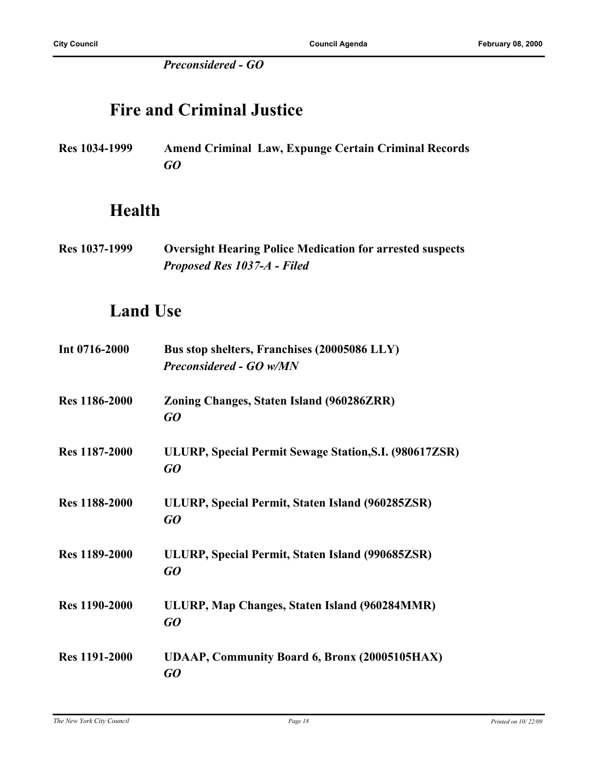*Preconsidered - GO*

### **Fire and Criminal Justice**

**Res 1034-1999 Amend Criminal Law, Expunge Certain Criminal Records** *GO*

### **Health**

**Res 1037-1999 Oversight Hearing Police Medication for arrested suspects** *Proposed Res 1037-A - Filed*

### **Land Use**

| Int 0716-2000        | Bus stop shelters, Franchises (20005086 LLY)<br><b>Preconsidered - GO w/MN</b> |
|----------------------|--------------------------------------------------------------------------------|
| <b>Res</b> 1186-2000 | Zoning Changes, Staten Island (960286ZRR)<br>GO                                |
| <b>Res</b> 1187-2000 | ULURP, Special Permit Sewage Station, S.I. (980617ZSR)<br>GO                   |
| <b>Res</b> 1188-2000 | ULURP, Special Permit, Staten Island (960285ZSR)<br>GO                         |
| <b>Res</b> 1189-2000 | ULURP, Special Permit, Staten Island (990685ZSR)<br>GO                         |
| <b>Res 1190-2000</b> | ULURP, Map Changes, Staten Island (960284MMR)<br>GO                            |
| <b>Res</b> 1191-2000 | <b>UDAAP, Community Board 6, Bronx (20005105HAX)</b><br>GO                     |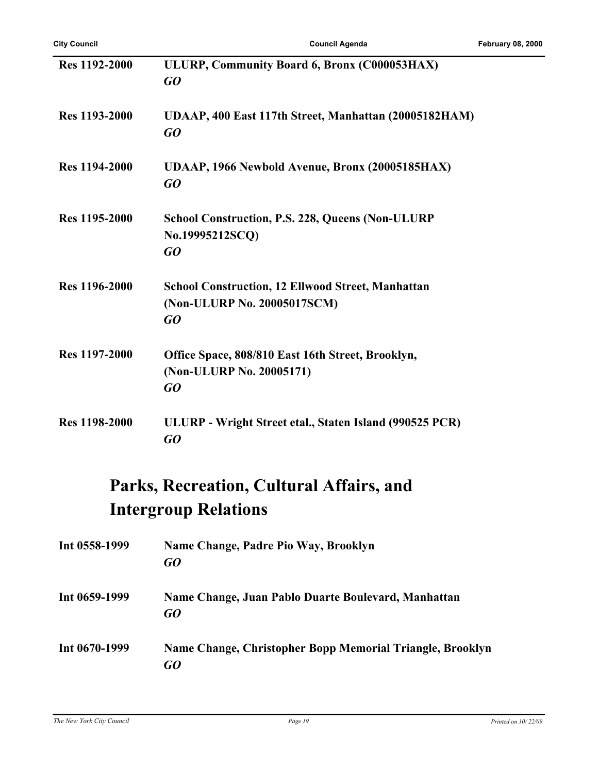| <b>Res 1192-2000</b> | ULURP, Community Board 6, Bronx (C000053HAX)<br>GO                                            |
|----------------------|-----------------------------------------------------------------------------------------------|
| Res 1193-2000        | UDAAP, 400 East 117th Street, Manhattan (20005182HAM)<br>GO                                   |
| <b>Res 1194-2000</b> | UDAAP, 1966 Newbold Avenue, Bronx (20005185HAX)<br>GO                                         |
| Res 1195-2000        | <b>School Construction, P.S. 228, Queens (Non-ULURP)</b><br>No.19995212SCQ)<br>GO             |
| <b>Res</b> 1196-2000 | <b>School Construction, 12 Ellwood Street, Manhattan</b><br>(Non-ULURP No. 20005017SCM)<br>GO |
| Res 1197-2000        | Office Space, 808/810 East 16th Street, Brooklyn,<br>(Non-ULURP No. 20005171)<br>GO           |
| <b>Res 1198-2000</b> | ULURP - Wright Street etal., Staten Island (990525 PCR)<br>GO                                 |

### **Parks, Recreation, Cultural Affairs, and Intergroup Relations**

| Int 0558-1999   | Name Change, Padre Pio Way, Brooklyn<br>GO                      |
|-----------------|-----------------------------------------------------------------|
| Int $0659-1999$ | Name Change, Juan Pablo Duarte Boulevard, Manhattan<br>GO       |
| Int 0670-1999   | Name Change, Christopher Bopp Memorial Triangle, Brooklyn<br>GO |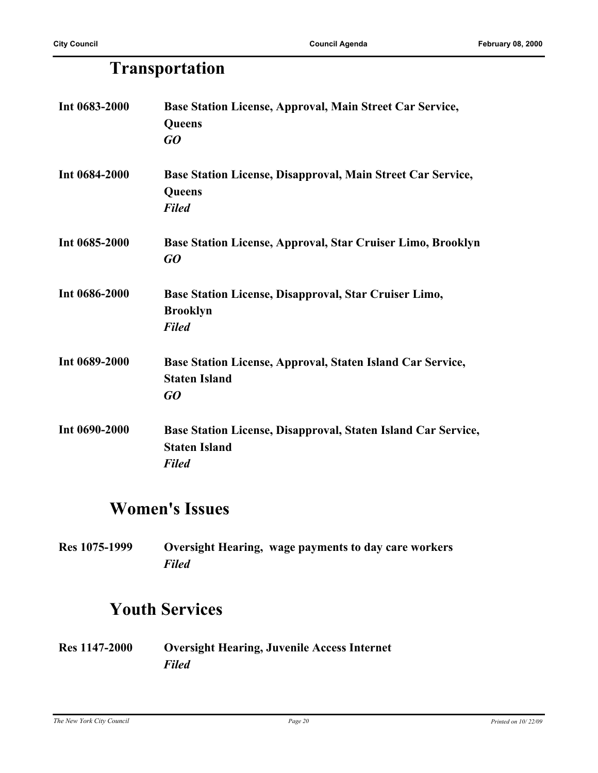### **Transportation**

| Int 0683-2000 | Base Station License, Approval, Main Street Car Service,      |
|---------------|---------------------------------------------------------------|
|               | Queens                                                        |
|               | GQ                                                            |
| Int 0684-2000 | Base Station License, Disapproval, Main Street Car Service,   |
|               | Queens                                                        |
|               | <b>Filed</b>                                                  |
| Int 0685-2000 | Base Station License, Approval, Star Cruiser Limo, Brooklyn   |
|               | GQ                                                            |
| Int 0686-2000 | Base Station License, Disapproval, Star Cruiser Limo,         |
|               | <b>Brooklyn</b>                                               |
|               | <b>Filed</b>                                                  |
| Int 0689-2000 | Base Station License, Approval, Staten Island Car Service,    |
|               | <b>Staten Island</b>                                          |
|               | GQ                                                            |
| Int 0690-2000 | Base Station License, Disapproval, Staten Island Car Service, |
|               | <b>Staten Island</b>                                          |
|               | <b>Filed</b>                                                  |

### **Women's Issues**

**Res 1075-1999 Oversight Hearing, wage payments to day care workers** *Filed*

### **Youth Services**

**Res 1147-2000 Oversight Hearing, Juvenile Access Internet** *Filed*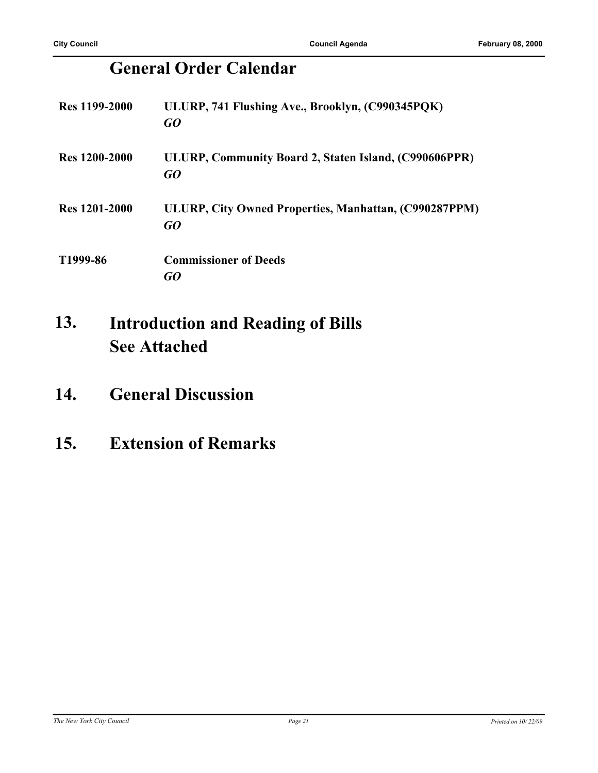### **General Order Calendar**

| <b>Res</b> 1199-2000 | ULURP, 741 Flushing Ave., Brooklyn, (C990345PQK)<br>GQ      |
|----------------------|-------------------------------------------------------------|
| Res 1200-2000        | ULURP, Community Board 2, Staten Island, (C990606PPR)<br>GO |
| <b>Res</b> 1201-2000 | ULURP, City Owned Properties, Manhattan, (C990287PPM)<br>GQ |
| T1999-86             | <b>Commissioner of Deeds</b><br>GO                          |

#### **Introduction and Reading of Bills See Attached 13.**

### **14. General Discussion**

### **15. Extension of Remarks**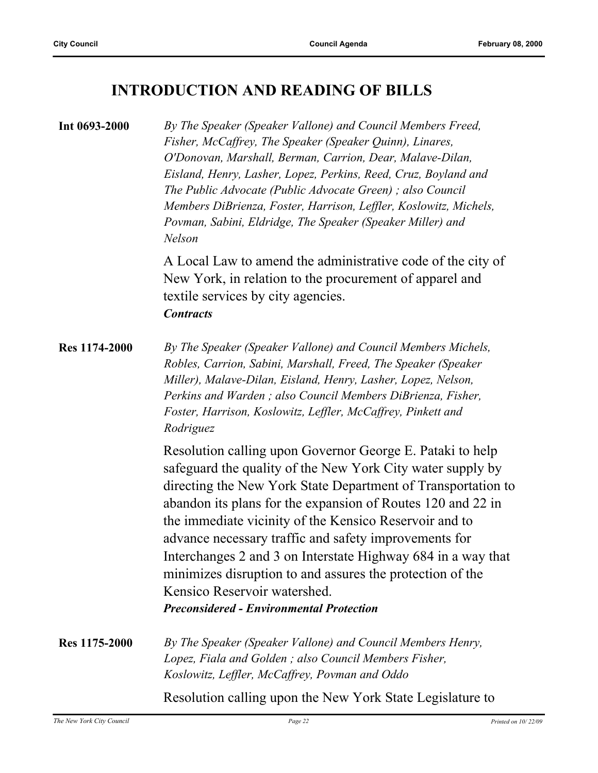### **INTRODUCTION AND READING OF BILLS**

| Int 0693-2000 | By The Speaker (Speaker Vallone) and Council Members Freed,<br>Fisher, McCaffrey, The Speaker (Speaker Quinn), Linares,<br>O'Donovan, Marshall, Berman, Carrion, Dear, Malave-Dilan,<br>Eisland, Henry, Lasher, Lopez, Perkins, Reed, Cruz, Boyland and<br>The Public Advocate (Public Advocate Green); also Council<br>Members DiBrienza, Foster, Harrison, Leffler, Koslowitz, Michels,<br>Povman, Sabini, Eldridge, The Speaker (Speaker Miller) and<br><b>Nelson</b>                                                                                                                  |
|---------------|-------------------------------------------------------------------------------------------------------------------------------------------------------------------------------------------------------------------------------------------------------------------------------------------------------------------------------------------------------------------------------------------------------------------------------------------------------------------------------------------------------------------------------------------------------------------------------------------|
|               | A Local Law to amend the administrative code of the city of<br>New York, in relation to the procurement of apparel and<br>textile services by city agencies.<br><b>Contracts</b>                                                                                                                                                                                                                                                                                                                                                                                                          |
| Res 1174-2000 | By The Speaker (Speaker Vallone) and Council Members Michels,<br>Robles, Carrion, Sabini, Marshall, Freed, The Speaker (Speaker<br>Miller), Malave-Dilan, Eisland, Henry, Lasher, Lopez, Nelson,<br>Perkins and Warden; also Council Members DiBrienza, Fisher,<br>Foster, Harrison, Koslowitz, Leffler, McCaffrey, Pinkett and<br>Rodriguez                                                                                                                                                                                                                                              |
|               | Resolution calling upon Governor George E. Pataki to help<br>safeguard the quality of the New York City water supply by<br>directing the New York State Department of Transportation to<br>abandon its plans for the expansion of Routes 120 and 22 in<br>the immediate vicinity of the Kensico Reservoir and to<br>advance necessary traffic and safety improvements for<br>Interchanges 2 and 3 on Interstate Highway 684 in a way that<br>minimizes disruption to and assures the protection of the<br>Kensico Reservoir watershed.<br><b>Preconsidered - Environmental Protection</b> |
| Res 1175-2000 | By The Speaker (Speaker Vallone) and Council Members Henry,<br>Lopez, Fiala and Golden; also Council Members Fisher,<br>Koslowitz, Leffler, McCaffrey, Povman and Oddo                                                                                                                                                                                                                                                                                                                                                                                                                    |
|               | Resolution calling upon the New York State Legislature to                                                                                                                                                                                                                                                                                                                                                                                                                                                                                                                                 |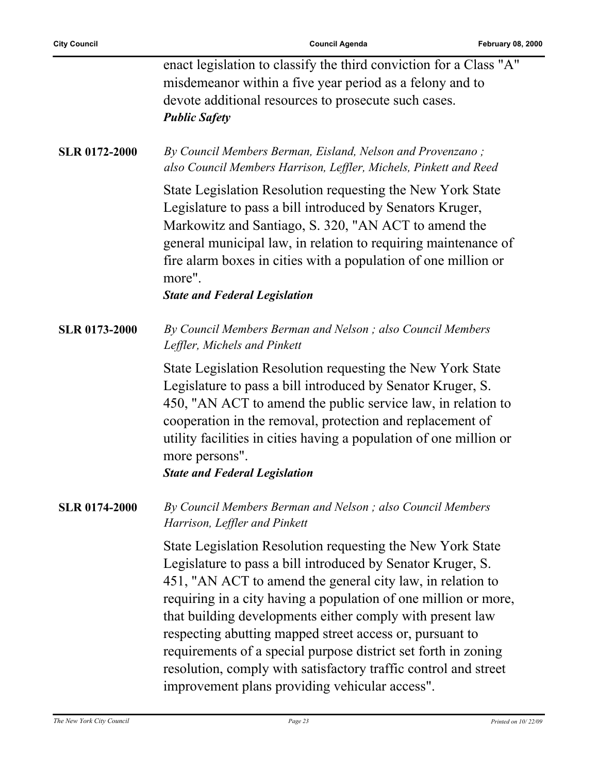| <b>City Council</b>  | <b>Council Agenda</b>                                                                                                                                                                                                                                                                                                                                                                                                                                                                                                                                                      | <b>February 08, 2000</b> |
|----------------------|----------------------------------------------------------------------------------------------------------------------------------------------------------------------------------------------------------------------------------------------------------------------------------------------------------------------------------------------------------------------------------------------------------------------------------------------------------------------------------------------------------------------------------------------------------------------------|--------------------------|
|                      | enact legislation to classify the third conviction for a Class "A"<br>misdemeanor within a five year period as a felony and to<br>devote additional resources to prosecute such cases.<br><b>Public Safety</b>                                                                                                                                                                                                                                                                                                                                                             |                          |
| <b>SLR 0172-2000</b> | By Council Members Berman, Eisland, Nelson and Provenzano;<br>also Council Members Harrison, Leffler, Michels, Pinkett and Reed                                                                                                                                                                                                                                                                                                                                                                                                                                            |                          |
|                      | State Legislation Resolution requesting the New York State<br>Legislature to pass a bill introduced by Senators Kruger,<br>Markowitz and Santiago, S. 320, "AN ACT to amend the<br>general municipal law, in relation to requiring maintenance of<br>fire alarm boxes in cities with a population of one million or<br>more".<br><b>State and Federal Legislation</b>                                                                                                                                                                                                      |                          |
| <b>SLR 0173-2000</b> | By Council Members Berman and Nelson; also Council Members<br>Leffler, Michels and Pinkett                                                                                                                                                                                                                                                                                                                                                                                                                                                                                 |                          |
|                      | State Legislation Resolution requesting the New York State<br>Legislature to pass a bill introduced by Senator Kruger, S.<br>450, "AN ACT to amend the public service law, in relation to<br>cooperation in the removal, protection and replacement of<br>utility facilities in cities having a population of one million or<br>more persons".<br><b>State and Federal Legislation</b>                                                                                                                                                                                     |                          |
| <b>SLR 0174-2000</b> | By Council Members Berman and Nelson; also Council Members<br>Harrison, Leffler and Pinkett                                                                                                                                                                                                                                                                                                                                                                                                                                                                                |                          |
|                      | State Legislation Resolution requesting the New York State<br>Legislature to pass a bill introduced by Senator Kruger, S.<br>451, "AN ACT to amend the general city law, in relation to<br>requiring in a city having a population of one million or more,<br>that building developments either comply with present law<br>respecting abutting mapped street access or, pursuant to<br>requirements of a special purpose district set forth in zoning<br>resolution, comply with satisfactory traffic control and street<br>improvement plans providing vehicular access". |                          |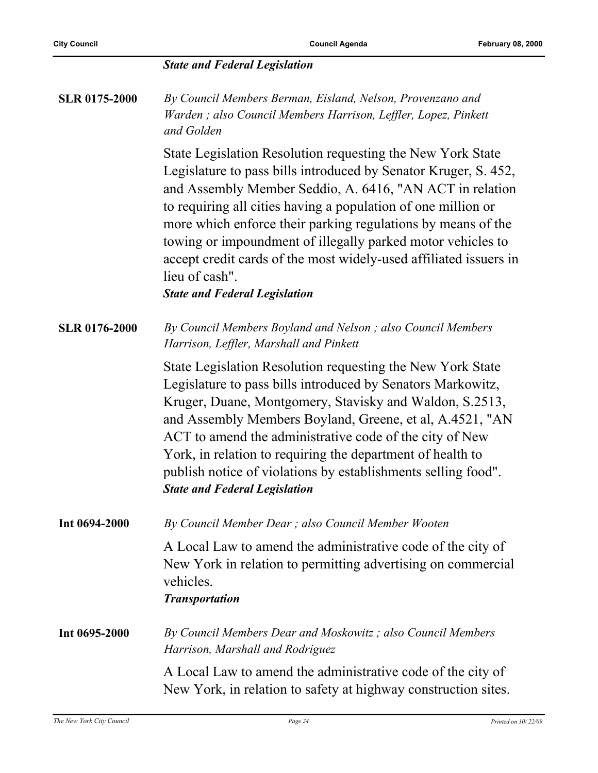#### *State and Federal Legislation*

**SLR 0175-2000** *By Council Members Berman, Eisland, Nelson, Provenzano and Warden ; also Council Members Harrison, Leffler, Lopez, Pinkett and Golden*

> State Legislation Resolution requesting the New York State Legislature to pass bills introduced by Senator Kruger, S. 452, and Assembly Member Seddio, A. 6416, "AN ACT in relation to requiring all cities having a population of one million or more which enforce their parking regulations by means of the towing or impoundment of illegally parked motor vehicles to accept credit cards of the most widely-used affiliated issuers in lieu of cash".

*State and Federal Legislation*

**SLR 0176-2000** *By Council Members Boyland and Nelson ; also Council Members Harrison, Leffler, Marshall and Pinkett*

> State Legislation Resolution requesting the New York State Legislature to pass bills introduced by Senators Markowitz, Kruger, Duane, Montgomery, Stavisky and Waldon, S.2513, and Assembly Members Boyland, Greene, et al, A.4521, "AN ACT to amend the administrative code of the city of New York, in relation to requiring the department of health to publish notice of violations by establishments selling food". *State and Federal Legislation*

**Int 0694-2000** *By Council Member Dear ; also Council Member Wooten*

A Local Law to amend the administrative code of the city of New York in relation to permitting advertising on commercial vehicles.

#### *Transportation*

**Int 0695-2000** *By Council Members Dear and Moskowitz ; also Council Members Harrison, Marshall and Rodriguez*

> A Local Law to amend the administrative code of the city of New York, in relation to safety at highway construction sites.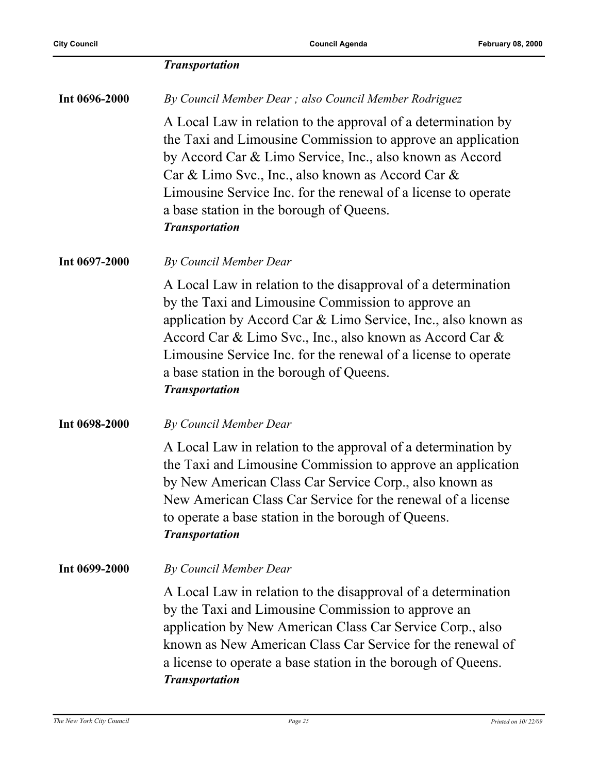|               | <b>Transportation</b>                                                                                                                                                                                                                                                                                                                                                                   |
|---------------|-----------------------------------------------------------------------------------------------------------------------------------------------------------------------------------------------------------------------------------------------------------------------------------------------------------------------------------------------------------------------------------------|
| Int 0696-2000 | By Council Member Dear; also Council Member Rodriguez                                                                                                                                                                                                                                                                                                                                   |
|               | A Local Law in relation to the approval of a determination by<br>the Taxi and Limousine Commission to approve an application<br>by Accord Car & Limo Service, Inc., also known as Accord<br>Car & Limo Svc., Inc., also known as Accord Car &<br>Limousine Service Inc. for the renewal of a license to operate<br>a base station in the borough of Queens.<br><b>Transportation</b>    |
| Int 0697-2000 | By Council Member Dear                                                                                                                                                                                                                                                                                                                                                                  |
|               | A Local Law in relation to the disapproval of a determination<br>by the Taxi and Limousine Commission to approve an<br>application by Accord Car & Limo Service, Inc., also known as<br>Accord Car & Limo Svc., Inc., also known as Accord Car &<br>Limousine Service Inc. for the renewal of a license to operate<br>a base station in the borough of Queens.<br><b>Transportation</b> |
| Int 0698-2000 | By Council Member Dear                                                                                                                                                                                                                                                                                                                                                                  |
|               | A Local Law in relation to the approval of a determination by<br>the Taxi and Limousine Commission to approve an application<br>by New American Class Car Service Corp., also known as<br>New American Class Car Service for the renewal of a license<br>to operate a base station in the borough of Queens.<br><b>Transportation</b>                                                   |
| Int 0699-2000 | <b>By Council Member Dear</b>                                                                                                                                                                                                                                                                                                                                                           |
|               | A Local Law in relation to the disapproval of a determination<br>by the Taxi and Limousine Commission to approve an<br>application by New American Class Car Service Corp., also<br>known as New American Class Car Service for the renewal of<br>a license to operate a base station in the borough of Queens.<br><b>Transportation</b>                                                |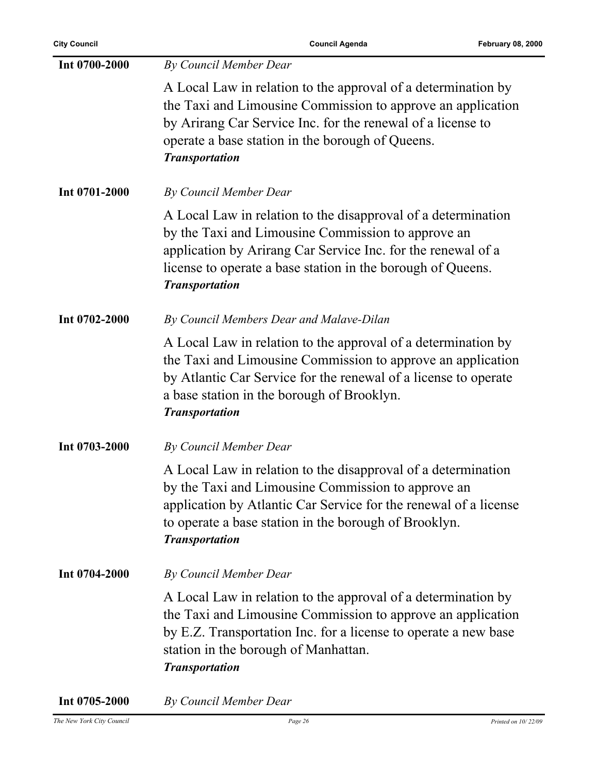| Int 0700-2000 | By Council Member Dear                                                                                                                                                                                                                                                      |
|---------------|-----------------------------------------------------------------------------------------------------------------------------------------------------------------------------------------------------------------------------------------------------------------------------|
|               | A Local Law in relation to the approval of a determination by<br>the Taxi and Limousine Commission to approve an application<br>by Arirang Car Service Inc. for the renewal of a license to<br>operate a base station in the borough of Queens.<br><b>Transportation</b>    |
| Int 0701-2000 | By Council Member Dear                                                                                                                                                                                                                                                      |
|               | A Local Law in relation to the disapproval of a determination<br>by the Taxi and Limousine Commission to approve an<br>application by Arirang Car Service Inc. for the renewal of a<br>license to operate a base station in the borough of Queens.<br><b>Transportation</b> |
| Int 0702-2000 | By Council Members Dear and Malave-Dilan                                                                                                                                                                                                                                    |
|               | A Local Law in relation to the approval of a determination by<br>the Taxi and Limousine Commission to approve an application<br>by Atlantic Car Service for the renewal of a license to operate<br>a base station in the borough of Brooklyn.<br><b>Transportation</b>      |
| Int 0703-2000 | By Council Member Dear                                                                                                                                                                                                                                                      |
|               | A Local Law in relation to the disapproval of a determination<br>by the Taxi and Limousine Commission to approve an<br>application by Atlantic Car Service for the renewal of a license<br>to operate a base station in the borough of Brooklyn.<br><b>Transportation</b>   |
| Int 0704-2000 | <b>By Council Member Dear</b>                                                                                                                                                                                                                                               |
|               | A Local Law in relation to the approval of a determination by<br>the Taxi and Limousine Commission to approve an application<br>by E.Z. Transportation Inc. for a license to operate a new base<br>station in the borough of Manhattan.<br><b>Transportation</b>            |

**Int 0705-2000** *By Council Member Dear*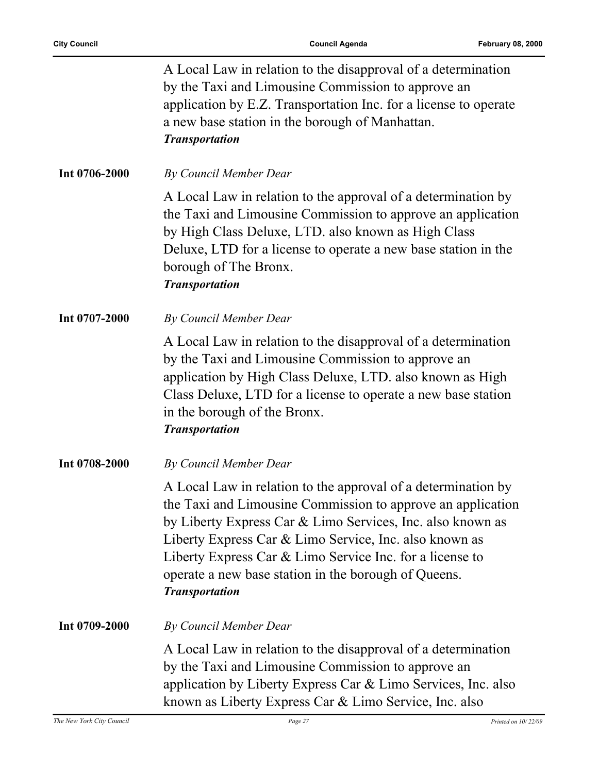|               | A Local Law in relation to the disapproval of a determination<br>by the Taxi and Limousine Commission to approve an<br>application by E.Z. Transportation Inc. for a license to operate<br>a new base station in the borough of Manhattan.<br><b>Transportation</b>                                                                                                                               |
|---------------|---------------------------------------------------------------------------------------------------------------------------------------------------------------------------------------------------------------------------------------------------------------------------------------------------------------------------------------------------------------------------------------------------|
| Int 0706-2000 | By Council Member Dear                                                                                                                                                                                                                                                                                                                                                                            |
|               | A Local Law in relation to the approval of a determination by<br>the Taxi and Limousine Commission to approve an application<br>by High Class Deluxe, LTD. also known as High Class<br>Deluxe, LTD for a license to operate a new base station in the<br>borough of The Bronx.<br><b>Transportation</b>                                                                                           |
| Int 0707-2000 | <b>By Council Member Dear</b>                                                                                                                                                                                                                                                                                                                                                                     |
|               | A Local Law in relation to the disapproval of a determination<br>by the Taxi and Limousine Commission to approve an<br>application by High Class Deluxe, LTD. also known as High<br>Class Deluxe, LTD for a license to operate a new base station<br>in the borough of the Bronx.<br><b>Transportation</b>                                                                                        |
| Int 0708-2000 | By Council Member Dear                                                                                                                                                                                                                                                                                                                                                                            |
|               | A Local Law in relation to the approval of a determination by<br>the Taxi and Limousine Commission to approve an application<br>by Liberty Express Car & Limo Services, Inc. also known as<br>Liberty Express Car & Limo Service, Inc. also known as<br>Liberty Express Car & Limo Service Inc. for a license to<br>operate a new base station in the borough of Queens.<br><b>Transportation</b> |
| Int 0709-2000 | By Council Member Dear                                                                                                                                                                                                                                                                                                                                                                            |
|               | A Local Law in relation to the disapproval of a determination<br>by the Taxi and Limousine Commission to approve an<br>application by Liberty Express Car & Limo Services, Inc. also<br>known as Liberty Express Car & Limo Service, Inc. also                                                                                                                                                    |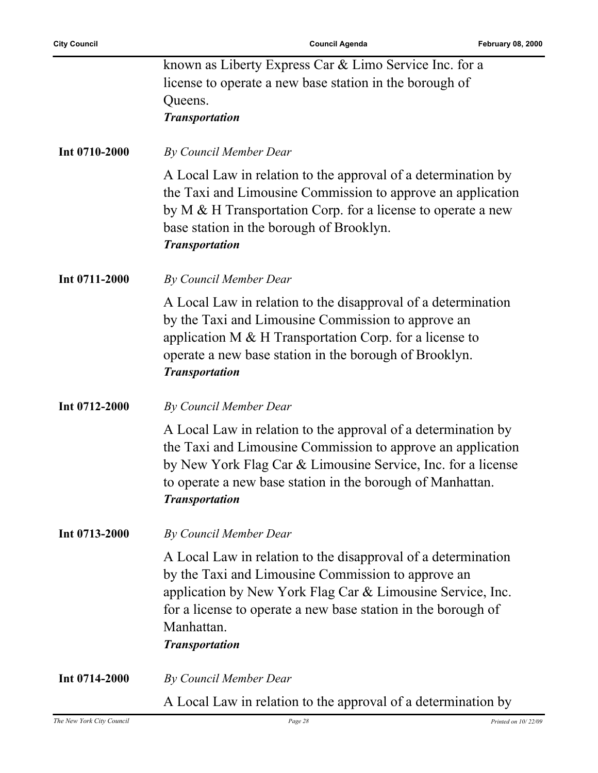|               | known as Liberty Express Car & Limo Service Inc. for a<br>license to operate a new base station in the borough of<br>Queens.<br><b>Transportation</b>                                                                                                                                     |
|---------------|-------------------------------------------------------------------------------------------------------------------------------------------------------------------------------------------------------------------------------------------------------------------------------------------|
| Int 0710-2000 | By Council Member Dear                                                                                                                                                                                                                                                                    |
|               | A Local Law in relation to the approval of a determination by<br>the Taxi and Limousine Commission to approve an application<br>by $M \& H$ Transportation Corp. for a license to operate a new<br>base station in the borough of Brooklyn.<br><b>Transportation</b>                      |
| Int 0711-2000 | By Council Member Dear                                                                                                                                                                                                                                                                    |
|               | A Local Law in relation to the disapproval of a determination<br>by the Taxi and Limousine Commission to approve an<br>application M $\&$ H Transportation Corp. for a license to<br>operate a new base station in the borough of Brooklyn.<br><b>Transportation</b>                      |
| Int 0712-2000 | By Council Member Dear                                                                                                                                                                                                                                                                    |
|               | A Local Law in relation to the approval of a determination by<br>the Taxi and Limousine Commission to approve an application<br>by New York Flag Car & Limousine Service, Inc. for a license<br>to operate a new base station in the borough of Manhattan.<br><b>Transportation</b>       |
| Int 0713-2000 | By Council Member Dear                                                                                                                                                                                                                                                                    |
|               | A Local Law in relation to the disapproval of a determination<br>by the Taxi and Limousine Commission to approve an<br>application by New York Flag Car & Limousine Service, Inc.<br>for a license to operate a new base station in the borough of<br>Manhattan.<br><b>Transportation</b> |
| Int 0714-2000 | By Council Member Dear                                                                                                                                                                                                                                                                    |
|               | A Local Law in relation to the approval of a determination by                                                                                                                                                                                                                             |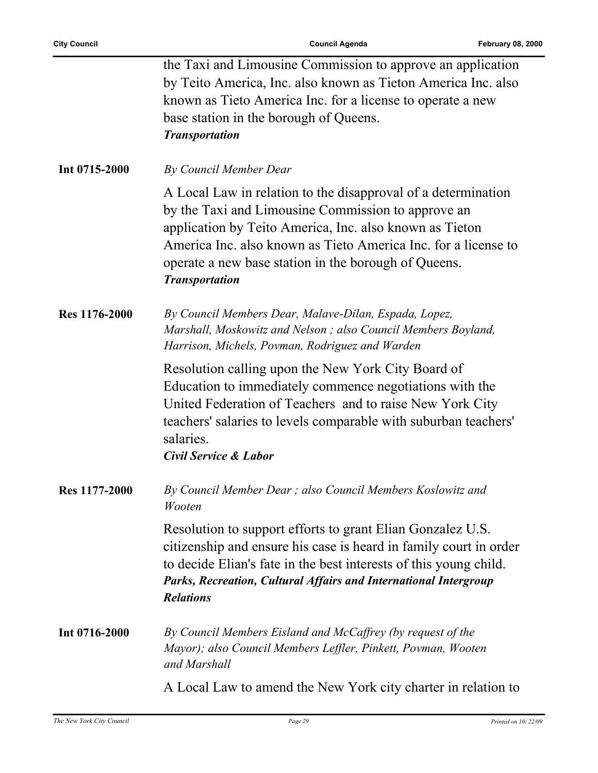|               | the Taxi and Limousine Commission to approve an application<br>by Teito America, Inc. also known as Tieton America Inc. also<br>known as Tieto America Inc. for a license to operate a new<br>base station in the borough of Queens.<br><b>Transportation</b>                                                                     |
|---------------|-----------------------------------------------------------------------------------------------------------------------------------------------------------------------------------------------------------------------------------------------------------------------------------------------------------------------------------|
| Int 0715-2000 | By Council Member Dear                                                                                                                                                                                                                                                                                                            |
|               | A Local Law in relation to the disapproval of a determination<br>by the Taxi and Limousine Commission to approve an<br>application by Teito America, Inc. also known as Tieton<br>America Inc. also known as Tieto America Inc. for a license to<br>operate a new base station in the borough of Queens.<br><b>Transportation</b> |
| Res 1176-2000 | By Council Members Dear, Malave-Dilan, Espada, Lopez,<br>Marshall, Moskowitz and Nelson; also Council Members Boyland,<br>Harrison, Michels, Povman, Rodriguez and Warden                                                                                                                                                         |
|               | Resolution calling upon the New York City Board of<br>Education to immediately commence negotiations with the<br>United Federation of Teachers and to raise New York City<br>teachers' salaries to levels comparable with suburban teachers'<br>salaries.<br><b>Civil Service &amp; Labor</b>                                     |
| Res 1177-2000 | By Council Member Dear; also Council Members Koslowitz and<br>Wooten                                                                                                                                                                                                                                                              |
|               | Resolution to support efforts to grant Elian Gonzalez U.S.<br>citizenship and ensure his case is heard in family court in order<br>to decide Elian's fate in the best interests of this young child.<br>Parks, Recreation, Cultural Affairs and International Intergroup<br><b>Relations</b>                                      |
| Int 0716-2000 | By Council Members Eisland and McCaffrey (by request of the<br>Mayor); also Council Members Leffler, Pinkett, Povman, Wooten<br>and Marshall                                                                                                                                                                                      |
|               | A Local Law to amend the New York city charter in relation to                                                                                                                                                                                                                                                                     |

*The New York City Council Page 29 Printed on 10/ 22/09*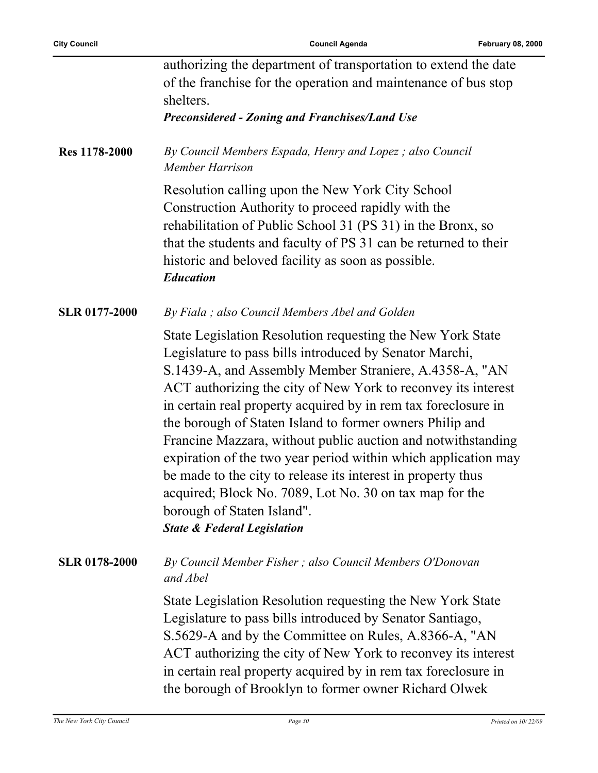|                      | authorizing the department of transportation to extend the date                                                                                                                                                                                                                                                                                                                                                                                                                                                                                                                                                                                                                                                     |
|----------------------|---------------------------------------------------------------------------------------------------------------------------------------------------------------------------------------------------------------------------------------------------------------------------------------------------------------------------------------------------------------------------------------------------------------------------------------------------------------------------------------------------------------------------------------------------------------------------------------------------------------------------------------------------------------------------------------------------------------------|
|                      | of the franchise for the operation and maintenance of bus stop                                                                                                                                                                                                                                                                                                                                                                                                                                                                                                                                                                                                                                                      |
|                      | shelters.<br><b>Preconsidered - Zoning and Franchises/Land Use</b>                                                                                                                                                                                                                                                                                                                                                                                                                                                                                                                                                                                                                                                  |
|                      |                                                                                                                                                                                                                                                                                                                                                                                                                                                                                                                                                                                                                                                                                                                     |
| Res 1178-2000        | By Council Members Espada, Henry and Lopez; also Council<br>Member Harrison                                                                                                                                                                                                                                                                                                                                                                                                                                                                                                                                                                                                                                         |
|                      | Resolution calling upon the New York City School<br>Construction Authority to proceed rapidly with the<br>rehabilitation of Public School 31 (PS 31) in the Bronx, so<br>that the students and faculty of PS 31 can be returned to their<br>historic and beloved facility as soon as possible.<br><b>Education</b>                                                                                                                                                                                                                                                                                                                                                                                                  |
| <b>SLR 0177-2000</b> | By Fiala ; also Council Members Abel and Golden                                                                                                                                                                                                                                                                                                                                                                                                                                                                                                                                                                                                                                                                     |
|                      | State Legislation Resolution requesting the New York State<br>Legislature to pass bills introduced by Senator Marchi,<br>S.1439-A, and Assembly Member Straniere, A.4358-A, "AN<br>ACT authorizing the city of New York to reconvey its interest<br>in certain real property acquired by in rem tax foreclosure in<br>the borough of Staten Island to former owners Philip and<br>Francine Mazzara, without public auction and notwithstanding<br>expiration of the two year period within which application may<br>be made to the city to release its interest in property thus<br>acquired; Block No. 7089, Lot No. 30 on tax map for the<br>borough of Staten Island".<br><b>State &amp; Federal Legislation</b> |
| <b>SLR 0178-2000</b> | By Council Member Fisher; also Council Members O'Donovan<br>and Abel                                                                                                                                                                                                                                                                                                                                                                                                                                                                                                                                                                                                                                                |
|                      | State Legislation Resolution requesting the New York State<br>Legislature to pass bills introduced by Senator Santiago,<br>S.5629-A and by the Committee on Rules, A.8366-A, "AN<br>ACT authorizing the city of New York to reconvey its interest<br>in certain real property acquired by in rem tax foreclosure in<br>the borough of Brooklyn to former owner Richard Olwek                                                                                                                                                                                                                                                                                                                                        |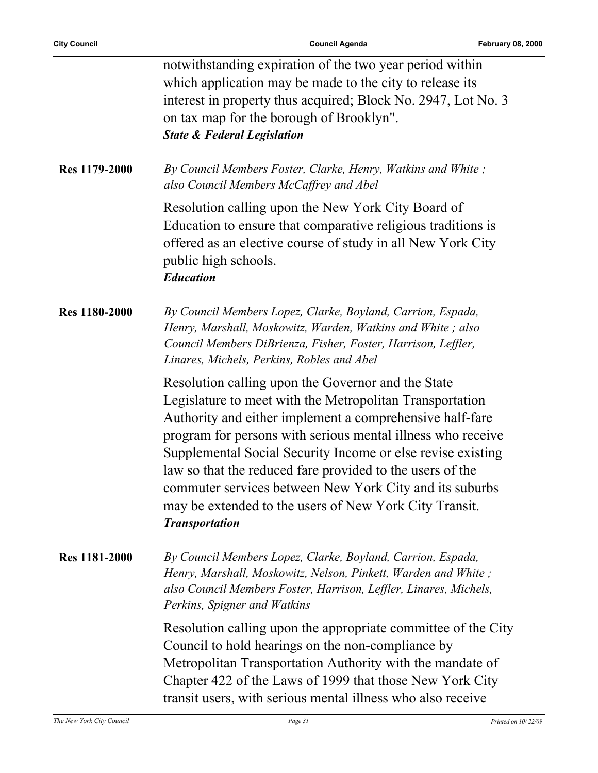|                      | notwithstanding expiration of the two year period within<br>which application may be made to the city to release its<br>interest in property thus acquired; Block No. 2947, Lot No. 3<br>on tax map for the borough of Brooklyn".<br><b>State &amp; Federal Legislation</b>                                                                                                                                                                                                                                         |
|----------------------|---------------------------------------------------------------------------------------------------------------------------------------------------------------------------------------------------------------------------------------------------------------------------------------------------------------------------------------------------------------------------------------------------------------------------------------------------------------------------------------------------------------------|
| Res 1179-2000        | By Council Members Foster, Clarke, Henry, Watkins and White;<br>also Council Members McCaffrey and Abel                                                                                                                                                                                                                                                                                                                                                                                                             |
|                      | Resolution calling upon the New York City Board of<br>Education to ensure that comparative religious traditions is<br>offered as an elective course of study in all New York City<br>public high schools.<br><b>Education</b>                                                                                                                                                                                                                                                                                       |
| Res 1180-2000        | By Council Members Lopez, Clarke, Boyland, Carrion, Espada,<br>Henry, Marshall, Moskowitz, Warden, Watkins and White; also<br>Council Members DiBrienza, Fisher, Foster, Harrison, Leffler,<br>Linares, Michels, Perkins, Robles and Abel                                                                                                                                                                                                                                                                           |
|                      | Resolution calling upon the Governor and the State<br>Legislature to meet with the Metropolitan Transportation<br>Authority and either implement a comprehensive half-fare<br>program for persons with serious mental illness who receive<br>Supplemental Social Security Income or else revise existing<br>law so that the reduced fare provided to the users of the<br>commuter services between New York City and its suburbs<br>may be extended to the users of New York City Transit.<br><b>Transportation</b> |
| <b>Res 1181-2000</b> | By Council Members Lopez, Clarke, Boyland, Carrion, Espada,<br>Henry, Marshall, Moskowitz, Nelson, Pinkett, Warden and White;<br>also Council Members Foster, Harrison, Leffler, Linares, Michels,<br>Perkins, Spigner and Watkins                                                                                                                                                                                                                                                                                  |
|                      | Resolution calling upon the appropriate committee of the City<br>Council to hold hearings on the non-compliance by<br>Metropolitan Transportation Authority with the mandate of<br>Chapter 422 of the Laws of 1999 that those New York City<br>transit users, with serious mental illness who also receive                                                                                                                                                                                                          |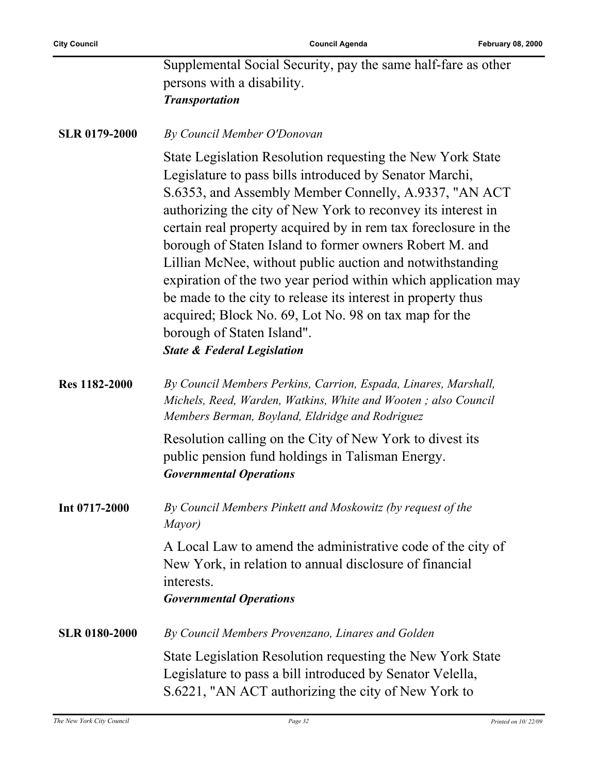÷,

|                      | Supplemental Social Security, pay the same half-fare as other<br>persons with a disability.<br><b>Transportation</b>                                                                                                                                                                                                                                                                                                                                                                                                                                                                                                                                                                                         |
|----------------------|--------------------------------------------------------------------------------------------------------------------------------------------------------------------------------------------------------------------------------------------------------------------------------------------------------------------------------------------------------------------------------------------------------------------------------------------------------------------------------------------------------------------------------------------------------------------------------------------------------------------------------------------------------------------------------------------------------------|
| <b>SLR 0179-2000</b> | By Council Member O'Donovan                                                                                                                                                                                                                                                                                                                                                                                                                                                                                                                                                                                                                                                                                  |
|                      | State Legislation Resolution requesting the New York State<br>Legislature to pass bills introduced by Senator Marchi,<br>S.6353, and Assembly Member Connelly, A.9337, "AN ACT<br>authorizing the city of New York to reconvey its interest in<br>certain real property acquired by in rem tax foreclosure in the<br>borough of Staten Island to former owners Robert M. and<br>Lillian McNee, without public auction and notwithstanding<br>expiration of the two year period within which application may<br>be made to the city to release its interest in property thus<br>acquired; Block No. 69, Lot No. 98 on tax map for the<br>borough of Staten Island".<br><b>State &amp; Federal Legislation</b> |
| Res 1182-2000        | By Council Members Perkins, Carrion, Espada, Linares, Marshall,<br>Michels, Reed, Warden, Watkins, White and Wooten; also Council<br>Members Berman, Boyland, Eldridge and Rodriguez                                                                                                                                                                                                                                                                                                                                                                                                                                                                                                                         |
|                      | Resolution calling on the City of New York to divest its<br>public pension fund holdings in Talisman Energy.<br><b>Governmental Operations</b>                                                                                                                                                                                                                                                                                                                                                                                                                                                                                                                                                               |
| Int 0717-2000        | By Council Members Pinkett and Moskowitz (by request of the<br>Mayor)                                                                                                                                                                                                                                                                                                                                                                                                                                                                                                                                                                                                                                        |
|                      | A Local Law to amend the administrative code of the city of<br>New York, in relation to annual disclosure of financial<br>interests.<br><b>Governmental Operations</b>                                                                                                                                                                                                                                                                                                                                                                                                                                                                                                                                       |
| <b>SLR 0180-2000</b> | By Council Members Provenzano, Linares and Golden                                                                                                                                                                                                                                                                                                                                                                                                                                                                                                                                                                                                                                                            |
|                      | State Legislation Resolution requesting the New York State<br>Legislature to pass a bill introduced by Senator Velella,<br>S.6221, "AN ACT authorizing the city of New York to                                                                                                                                                                                                                                                                                                                                                                                                                                                                                                                               |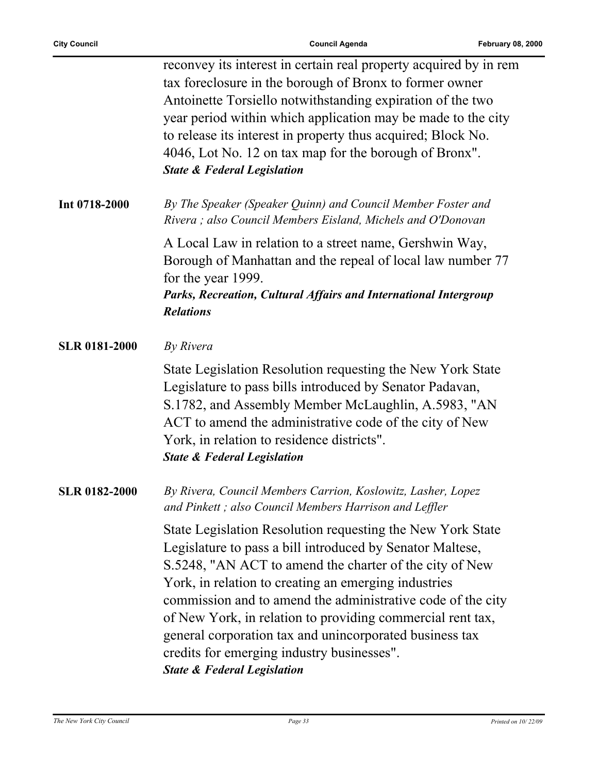$\overline{a}$ 

|                      | reconvey its interest in certain real property acquired by in rem<br>tax foreclosure in the borough of Bronx to former owner<br>Antoinette Torsiello notwithstanding expiration of the two<br>year period within which application may be made to the city<br>to release its interest in property thus acquired; Block No.<br>4046, Lot No. 12 on tax map for the borough of Bronx".<br><b>State &amp; Federal Legislation</b>                                                                                             |
|----------------------|----------------------------------------------------------------------------------------------------------------------------------------------------------------------------------------------------------------------------------------------------------------------------------------------------------------------------------------------------------------------------------------------------------------------------------------------------------------------------------------------------------------------------|
| Int 0718-2000        | By The Speaker (Speaker Quinn) and Council Member Foster and<br>Rivera; also Council Members Eisland, Michels and O'Donovan                                                                                                                                                                                                                                                                                                                                                                                                |
|                      | A Local Law in relation to a street name, Gershwin Way,<br>Borough of Manhattan and the repeal of local law number 77<br>for the year 1999.<br>Parks, Recreation, Cultural Affairs and International Intergroup<br><b>Relations</b>                                                                                                                                                                                                                                                                                        |
| <b>SLR 0181-2000</b> | By Rivera                                                                                                                                                                                                                                                                                                                                                                                                                                                                                                                  |
|                      | State Legislation Resolution requesting the New York State<br>Legislature to pass bills introduced by Senator Padavan,<br>S.1782, and Assembly Member McLaughlin, A.5983, "AN<br>ACT to amend the administrative code of the city of New<br>York, in relation to residence districts".<br><b>State &amp; Federal Legislation</b>                                                                                                                                                                                           |
| <b>SLR 0182-2000</b> | By Rivera, Council Members Carrion, Koslowitz, Lasher, Lopez<br>and Pinkett; also Council Members Harrison and Leffler                                                                                                                                                                                                                                                                                                                                                                                                     |
|                      | State Legislation Resolution requesting the New York State<br>Legislature to pass a bill introduced by Senator Maltese,<br>S.5248, "AN ACT to amend the charter of the city of New<br>York, in relation to creating an emerging industries<br>commission and to amend the administrative code of the city<br>of New York, in relation to providing commercial rent tax,<br>general corporation tax and unincorporated business tax<br>credits for emerging industry businesses".<br><b>State &amp; Federal Legislation</b> |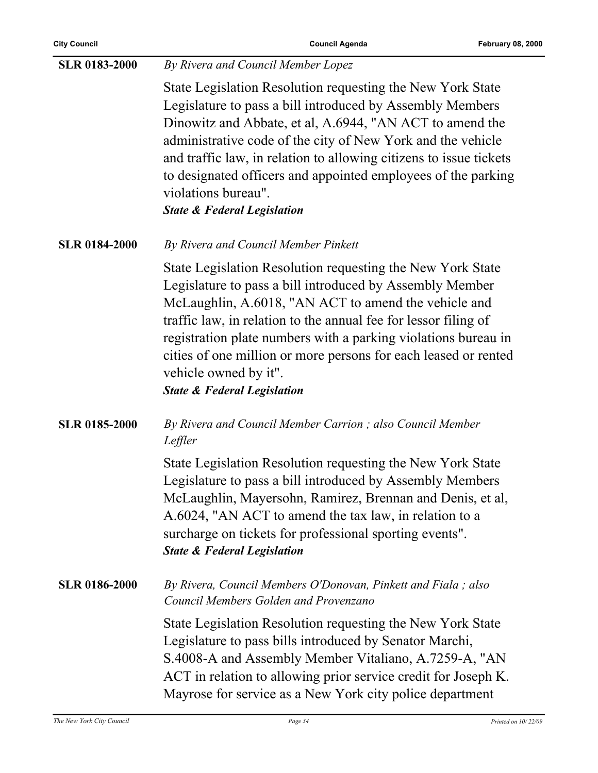l,

| <b>SLR 0183-2000</b> | By Rivera and Council Member Lopez                                                                                                                                                                                                                                                                                                                                                                                                                         |
|----------------------|------------------------------------------------------------------------------------------------------------------------------------------------------------------------------------------------------------------------------------------------------------------------------------------------------------------------------------------------------------------------------------------------------------------------------------------------------------|
|                      | State Legislation Resolution requesting the New York State<br>Legislature to pass a bill introduced by Assembly Members<br>Dinowitz and Abbate, et al, A.6944, "AN ACT to amend the<br>administrative code of the city of New York and the vehicle<br>and traffic law, in relation to allowing citizens to issue tickets<br>to designated officers and appointed employees of the parking<br>violations bureau".<br><b>State &amp; Federal Legislation</b> |
| <b>SLR 0184-2000</b> | By Rivera and Council Member Pinkett                                                                                                                                                                                                                                                                                                                                                                                                                       |
|                      | State Legislation Resolution requesting the New York State<br>Legislature to pass a bill introduced by Assembly Member<br>McLaughlin, A.6018, "AN ACT to amend the vehicle and<br>traffic law, in relation to the annual fee for lessor filing of<br>registration plate numbers with a parking violations bureau in<br>cities of one million or more persons for each leased or rented<br>vehicle owned by it".<br><b>State &amp; Federal Legislation</b>  |
| <b>SLR 0185-2000</b> | By Rivera and Council Member Carrion; also Council Member<br>Leffler                                                                                                                                                                                                                                                                                                                                                                                       |
|                      | State Legislation Resolution requesting the New York State<br>Legislature to pass a bill introduced by Assembly Members<br>McLaughlin, Mayersohn, Ramirez, Brennan and Denis, et al,<br>A.6024, "AN ACT to amend the tax law, in relation to a<br>surcharge on tickets for professional sporting events".<br><b>State &amp; Federal Legislation</b>                                                                                                        |
| <b>SLR 0186-2000</b> | By Rivera, Council Members O'Donovan, Pinkett and Fiala; also<br>Council Members Golden and Provenzano                                                                                                                                                                                                                                                                                                                                                     |
|                      | State Legislation Resolution requesting the New York State<br>Legislature to pass bills introduced by Senator Marchi,<br>S.4008-A and Assembly Member Vitaliano, A.7259-A, "AN<br>ACT in relation to allowing prior service credit for Joseph K.<br>Mayrose for service as a New York city police department                                                                                                                                               |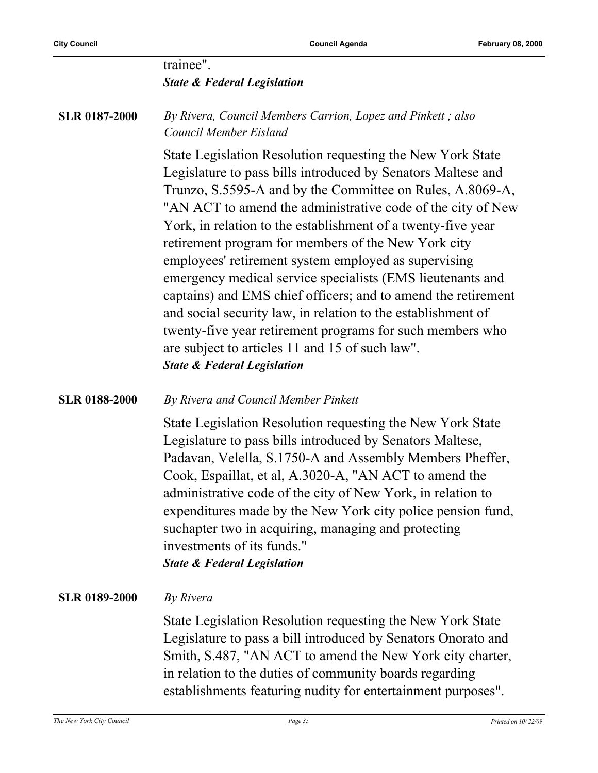|                      | trainee".<br><b>State &amp; Federal Legislation</b>                                                                                                                                                                                                                                                                                                                                                                                                                                                                                                                                                                                                                                                                                                                                            |
|----------------------|------------------------------------------------------------------------------------------------------------------------------------------------------------------------------------------------------------------------------------------------------------------------------------------------------------------------------------------------------------------------------------------------------------------------------------------------------------------------------------------------------------------------------------------------------------------------------------------------------------------------------------------------------------------------------------------------------------------------------------------------------------------------------------------------|
| <b>SLR 0187-2000</b> | By Rivera, Council Members Carrion, Lopez and Pinkett; also<br>Council Member Eisland                                                                                                                                                                                                                                                                                                                                                                                                                                                                                                                                                                                                                                                                                                          |
|                      | State Legislation Resolution requesting the New York State<br>Legislature to pass bills introduced by Senators Maltese and<br>Trunzo, S.5595-A and by the Committee on Rules, A.8069-A,<br>"AN ACT to amend the administrative code of the city of New<br>York, in relation to the establishment of a twenty-five year<br>retirement program for members of the New York city<br>employees' retirement system employed as supervising<br>emergency medical service specialists (EMS lieutenants and<br>captains) and EMS chief officers; and to amend the retirement<br>and social security law, in relation to the establishment of<br>twenty-five year retirement programs for such members who<br>are subject to articles 11 and 15 of such law".<br><b>State &amp; Federal Legislation</b> |
| <b>SLR 0188-2000</b> | By Rivera and Council Member Pinkett                                                                                                                                                                                                                                                                                                                                                                                                                                                                                                                                                                                                                                                                                                                                                           |
|                      | State Legislation Resolution requesting the New York State<br>Legislature to pass bills introduced by Senators Maltese,<br>Padavan, Velella, S.1750-A and Assembly Members Pheffer,<br>Cook, Espaillat, et al, A.3020-A, "AN ACT to amend the<br>administrative code of the city of New York, in relation to<br>expenditures made by the New York city police pension fund,<br>suchapter two in acquiring, managing and protecting<br>investments of its funds."<br><b>State &amp; Federal Legislation</b>                                                                                                                                                                                                                                                                                     |
| <b>SLR 0189-2000</b> | By Rivera                                                                                                                                                                                                                                                                                                                                                                                                                                                                                                                                                                                                                                                                                                                                                                                      |
|                      | State Legislation Resolution requesting the New York State<br>Legislature to pass a bill introduced by Senators Onorato and<br>Smith, S.487, "AN ACT to amend the New York city charter,<br>in relation to the duties of community boards regarding<br>establishments featuring nudity for entertainment purposes".                                                                                                                                                                                                                                                                                                                                                                                                                                                                            |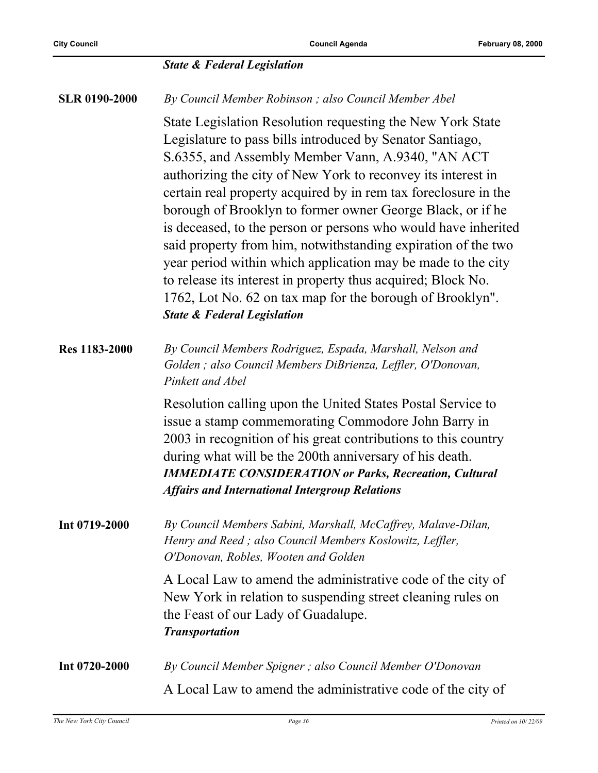|                      | <b>State &amp; Federal Legislation</b>                                                                                                                                                                                                                                                                                                                                                                                                                                                                                                                                                                                                                                                                                                                  |
|----------------------|---------------------------------------------------------------------------------------------------------------------------------------------------------------------------------------------------------------------------------------------------------------------------------------------------------------------------------------------------------------------------------------------------------------------------------------------------------------------------------------------------------------------------------------------------------------------------------------------------------------------------------------------------------------------------------------------------------------------------------------------------------|
| <b>SLR 0190-2000</b> | By Council Member Robinson; also Council Member Abel                                                                                                                                                                                                                                                                                                                                                                                                                                                                                                                                                                                                                                                                                                    |
|                      | State Legislation Resolution requesting the New York State<br>Legislature to pass bills introduced by Senator Santiago,<br>S.6355, and Assembly Member Vann, A.9340, "AN ACT<br>authorizing the city of New York to reconvey its interest in<br>certain real property acquired by in rem tax foreclosure in the<br>borough of Brooklyn to former owner George Black, or if he<br>is deceased, to the person or persons who would have inherited<br>said property from him, notwithstanding expiration of the two<br>year period within which application may be made to the city<br>to release its interest in property thus acquired; Block No.<br>1762, Lot No. 62 on tax map for the borough of Brooklyn".<br><b>State &amp; Federal Legislation</b> |
| Res 1183-2000        | By Council Members Rodriguez, Espada, Marshall, Nelson and<br>Golden; also Council Members DiBrienza, Leffler, O'Donovan,<br>Pinkett and Abel                                                                                                                                                                                                                                                                                                                                                                                                                                                                                                                                                                                                           |
|                      | Resolution calling upon the United States Postal Service to<br>issue a stamp commemorating Commodore John Barry in<br>2003 in recognition of his great contributions to this country<br>during what will be the 200th anniversary of his death.<br><b>IMMEDIATE CONSIDERATION or Parks, Recreation, Cultural</b><br><b>Affairs and International Intergroup Relations</b>                                                                                                                                                                                                                                                                                                                                                                               |
| Int 0719-2000        | By Council Members Sabini, Marshall, McCaffrey, Malave-Dilan,<br>Henry and Reed; also Council Members Koslowitz, Leffler,<br>O'Donovan, Robles, Wooten and Golden                                                                                                                                                                                                                                                                                                                                                                                                                                                                                                                                                                                       |
|                      | A Local Law to amend the administrative code of the city of<br>New York in relation to suspending street cleaning rules on<br>the Feast of our Lady of Guadalupe.<br><b>Transportation</b>                                                                                                                                                                                                                                                                                                                                                                                                                                                                                                                                                              |
| Int 0720-2000        | By Council Member Spigner; also Council Member O'Donovan                                                                                                                                                                                                                                                                                                                                                                                                                                                                                                                                                                                                                                                                                                |
|                      | A Local Law to amend the administrative code of the city of                                                                                                                                                                                                                                                                                                                                                                                                                                                                                                                                                                                                                                                                                             |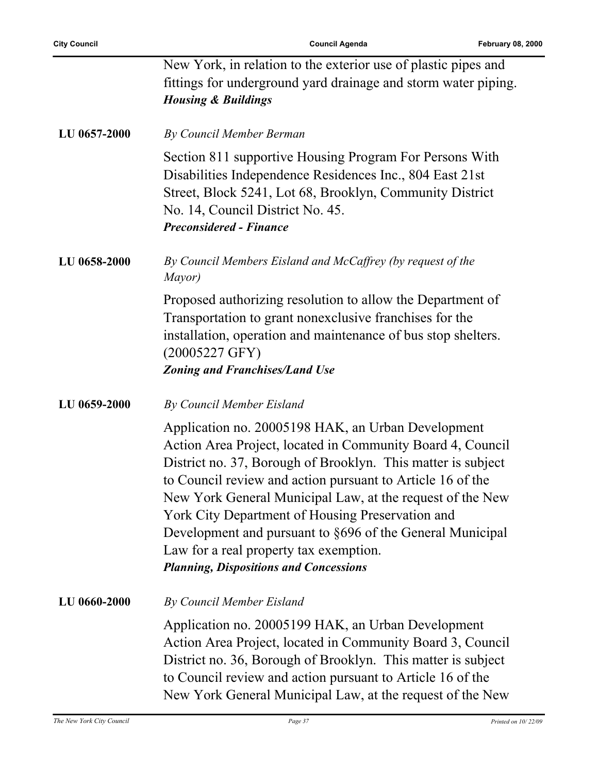|              | New York, in relation to the exterior use of plastic pipes and<br>fittings for underground yard drainage and storm water piping.<br><b>Housing &amp; Buildings</b>                                                                                                                                                                                                                                                                                                                                                      |
|--------------|-------------------------------------------------------------------------------------------------------------------------------------------------------------------------------------------------------------------------------------------------------------------------------------------------------------------------------------------------------------------------------------------------------------------------------------------------------------------------------------------------------------------------|
| LU 0657-2000 | By Council Member Berman                                                                                                                                                                                                                                                                                                                                                                                                                                                                                                |
|              | Section 811 supportive Housing Program For Persons With<br>Disabilities Independence Residences Inc., 804 East 21st<br>Street, Block 5241, Lot 68, Brooklyn, Community District<br>No. 14, Council District No. 45.<br><b>Preconsidered - Finance</b>                                                                                                                                                                                                                                                                   |
| LU 0658-2000 | By Council Members Eisland and McCaffrey (by request of the<br>Mayor)                                                                                                                                                                                                                                                                                                                                                                                                                                                   |
|              | Proposed authorizing resolution to allow the Department of<br>Transportation to grant nonexclusive franchises for the<br>installation, operation and maintenance of bus stop shelters.<br>$(20005227 \text{ GFY})$<br><b>Zoning and Franchises/Land Use</b>                                                                                                                                                                                                                                                             |
| LU 0659-2000 | By Council Member Eisland                                                                                                                                                                                                                                                                                                                                                                                                                                                                                               |
|              | Application no. 20005198 HAK, an Urban Development<br>Action Area Project, located in Community Board 4, Council<br>District no. 37, Borough of Brooklyn. This matter is subject<br>to Council review and action pursuant to Article 16 of the<br>New York General Municipal Law, at the request of the New<br>York City Department of Housing Preservation and<br>Development and pursuant to §696 of the General Municipal<br>Law for a real property tax exemption.<br><b>Planning, Dispositions and Concessions</b> |
| LU 0660-2000 | By Council Member Eisland                                                                                                                                                                                                                                                                                                                                                                                                                                                                                               |
|              | Application no. 20005199 HAK, an Urban Development<br>Action Area Project, located in Community Board 3, Council<br>District no. 36, Borough of Brooklyn. This matter is subject<br>to Council review and action pursuant to Article 16 of the<br>New York General Municipal Law, at the request of the New                                                                                                                                                                                                             |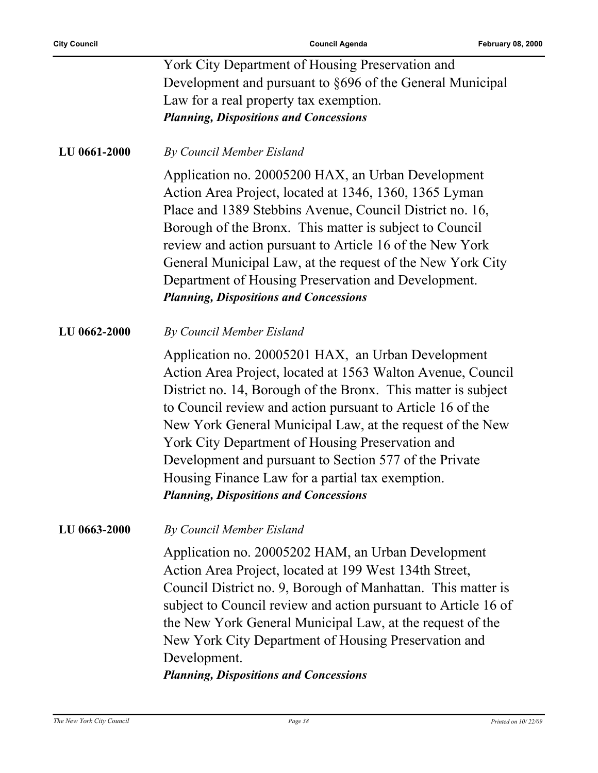|                     | York City Department of Housing Preservation and<br>Development and pursuant to §696 of the General Municipal<br>Law for a real property tax exemption.<br><b>Planning, Dispositions and Concessions</b>                                                                                                                                                                                                                                                                                                                         |
|---------------------|----------------------------------------------------------------------------------------------------------------------------------------------------------------------------------------------------------------------------------------------------------------------------------------------------------------------------------------------------------------------------------------------------------------------------------------------------------------------------------------------------------------------------------|
| LU 0661-2000        | By Council Member Eisland                                                                                                                                                                                                                                                                                                                                                                                                                                                                                                        |
|                     | Application no. 20005200 HAX, an Urban Development<br>Action Area Project, located at 1346, 1360, 1365 Lyman<br>Place and 1389 Stebbins Avenue, Council District no. 16,<br>Borough of the Bronx. This matter is subject to Council<br>review and action pursuant to Article 16 of the New York<br>General Municipal Law, at the request of the New York City<br>Department of Housing Preservation and Development.<br><b>Planning, Dispositions and Concessions</b>                                                            |
| LU 0662-2000        | By Council Member Eisland                                                                                                                                                                                                                                                                                                                                                                                                                                                                                                        |
|                     | Application no. 20005201 HAX, an Urban Development<br>Action Area Project, located at 1563 Walton Avenue, Council<br>District no. 14, Borough of the Bronx. This matter is subject<br>to Council review and action pursuant to Article 16 of the<br>New York General Municipal Law, at the request of the New<br>York City Department of Housing Preservation and<br>Development and pursuant to Section 577 of the Private<br>Housing Finance Law for a partial tax exemption.<br><b>Planning, Dispositions and Concessions</b> |
| <b>LU 0663-2000</b> | By Council Member Eisland                                                                                                                                                                                                                                                                                                                                                                                                                                                                                                        |
|                     | Application no. 20005202 HAM, an Urban Development<br>Action Area Project, located at 199 West 134th Street,<br>Council District no. 9, Borough of Manhattan. This matter is<br>subject to Council review and action pursuant to Article 16 of<br>the New York General Municipal Law, at the request of the<br>New York City Department of Housing Preservation and<br>Development.<br><b>Planning, Dispositions and Concessions</b>                                                                                             |
|                     |                                                                                                                                                                                                                                                                                                                                                                                                                                                                                                                                  |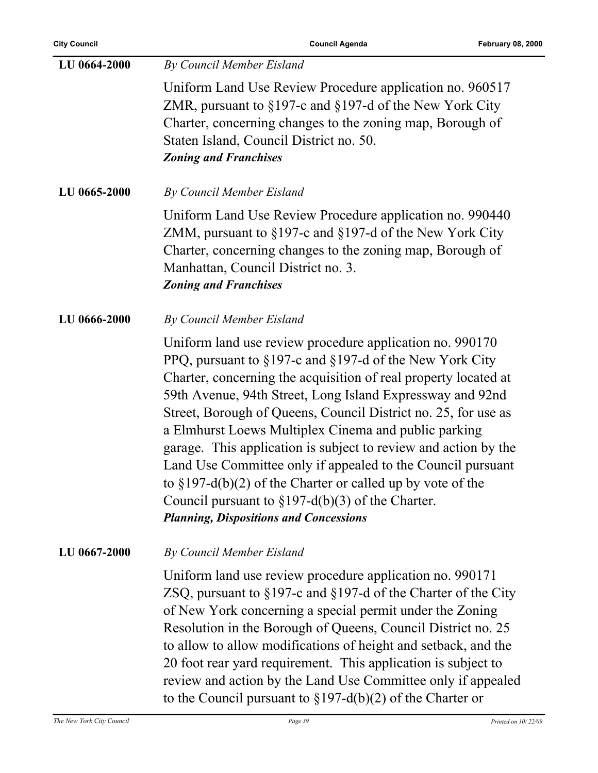| LU 0664-2000 | By Council Member Eisland                                                                                                                                                                                                                                                                                                                                                                                                                                                                                                                                                                                                                                                                  |
|--------------|--------------------------------------------------------------------------------------------------------------------------------------------------------------------------------------------------------------------------------------------------------------------------------------------------------------------------------------------------------------------------------------------------------------------------------------------------------------------------------------------------------------------------------------------------------------------------------------------------------------------------------------------------------------------------------------------|
|              | Uniform Land Use Review Procedure application no. 960517<br>ZMR, pursuant to $\S197$ -c and $\S197$ -d of the New York City<br>Charter, concerning changes to the zoning map, Borough of<br>Staten Island, Council District no. 50.<br><b>Zoning and Franchises</b>                                                                                                                                                                                                                                                                                                                                                                                                                        |
| LU 0665-2000 | By Council Member Eisland                                                                                                                                                                                                                                                                                                                                                                                                                                                                                                                                                                                                                                                                  |
|              | Uniform Land Use Review Procedure application no. 990440<br>ZMM, pursuant to $\S 197$ -c and $\S 197$ -d of the New York City<br>Charter, concerning changes to the zoning map, Borough of<br>Manhattan, Council District no. 3.<br><b>Zoning and Franchises</b>                                                                                                                                                                                                                                                                                                                                                                                                                           |
| LU 0666-2000 | By Council Member Eisland                                                                                                                                                                                                                                                                                                                                                                                                                                                                                                                                                                                                                                                                  |
|              | Uniform land use review procedure application no. 990170<br>PPQ, pursuant to §197-c and §197-d of the New York City<br>Charter, concerning the acquisition of real property located at<br>59th Avenue, 94th Street, Long Island Expressway and 92nd<br>Street, Borough of Queens, Council District no. 25, for use as<br>a Elmhurst Loews Multiplex Cinema and public parking<br>garage. This application is subject to review and action by the<br>Land Use Committee only if appealed to the Council pursuant<br>to $\S 197-d(b)(2)$ of the Charter or called up by vote of the<br>Council pursuant to $\S 197-d(b)(3)$ of the Charter.<br><b>Planning, Dispositions and Concessions</b> |
| LU 0667-2000 | By Council Member Eisland                                                                                                                                                                                                                                                                                                                                                                                                                                                                                                                                                                                                                                                                  |
|              | Uniform land use review procedure application no. 990171<br>ZSQ, pursuant to §197-c and §197-d of the Charter of the City<br>of New York concerning a special permit under the Zoning<br>Resolution in the Borough of Queens, Council District no. 25<br>to allow to allow modifications of height and setback, and the<br>20 foot rear yard requirement. This application is subject to<br>review and action by the Land Use Committee only if appealed<br>to the Council pursuant to $\S 197-d(b)(2)$ of the Charter or                                                                                                                                                                  |